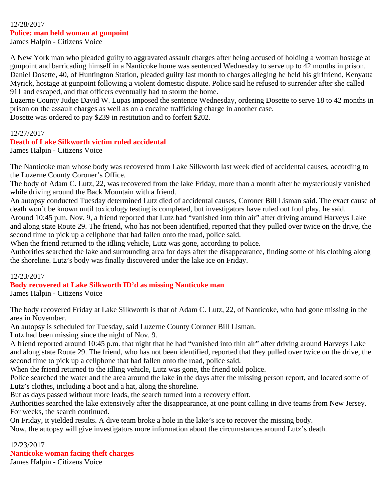# 12/28/2017 **Police: man held woman at gunpoint**

James Halpin - Citizens Voice

A New York man who pleaded guilty to aggravated assault charges after being accused of holding a woman hostage at gunpoint and barricading himself in a Nanticoke home was sentenced Wednesday to serve up to 42 months in prison. Daniel Dosette, 40, of Huntington Station, pleaded guilty last month to charges alleging he held his girlfriend, Kenyatta Myrick, hostage at gunpoint following a violent domestic dispute. Police said he refused to surrender after she called 911 and escaped, and that officers eventually had to storm the home.

Luzerne County Judge David W. Lupas imposed the sentence Wednesday, ordering Dosette to serve 18 to 42 months in prison on the assault charges as well as on a cocaine trafficking charge in another case.

Dosette was ordered to pay \$239 in restitution and to forfeit \$202.

#### 12/27/2017

## **Death of Lake Silkworth victim ruled accidental**

James Halpin - Citizens Voice

The Nanticoke man whose body was recovered from Lake Silkworth last week died of accidental causes, according to the Luzerne County Coroner's Office.

The body of Adam C. Lutz, 22, was recovered from the lake Friday, more than a month after he mysteriously vanished while driving around the Back Mountain with a friend.

An autopsy conducted Tuesday determined Lutz died of accidental causes, Coroner Bill Lisman said. The exact cause of death won't be known until toxicology testing is completed, but investigators have ruled out foul play, he said.

Around 10:45 p.m. Nov. 9, a friend reported that Lutz had "vanished into thin air" after driving around Harveys Lake and along state Route 29. The friend, who has not been identified, reported that they pulled over twice on the drive, the second time to pick up a cellphone that had fallen onto the road, police said.

When the friend returned to the idling vehicle, Lutz was gone, according to police.

Authorities searched the lake and surrounding area for days after the disappearance, finding some of his clothing along the shoreline. Lutz's body was finally discovered under the lake ice on Friday.

#### 12/23/2017

## **Body recovered at Lake Silkworth ID'd as missing Nanticoke man**

James Halpin - Citizens Voice

The body recovered Friday at Lake Silkworth is that of Adam C. Lutz, 22, of Nanticoke, who had gone missing in the area in November.

An autopsy is scheduled for Tuesday, said Luzerne County Coroner Bill Lisman.

Lutz had been missing since the night of Nov. 9.

A friend reported around 10:45 p.m. that night that he had "vanished into thin air" after driving around Harveys Lake and along state Route 29. The friend, who has not been identified, reported that they pulled over twice on the drive, the second time to pick up a cellphone that had fallen onto the road, police said.

When the friend returned to the idling vehicle, Lutz was gone, the friend told police.

Police searched the water and the area around the lake in the days after the missing person report, and located some of Lutz's clothes, including a boot and a hat, along the shoreline.

But as days passed without more leads, the search turned into a recovery effort.

Authorities searched the lake extensively after the disappearance, at one point calling in dive teams from New Jersey. For weeks, the search continued.

On Friday, it yielded results. A dive team broke a hole in the lake's ice to recover the missing body.

Now, the autopsy will give investigators more information about the circumstances around Lutz's death.

12/23/2017

**Nanticoke woman facing theft charges**

James Halpin - Citizens Voice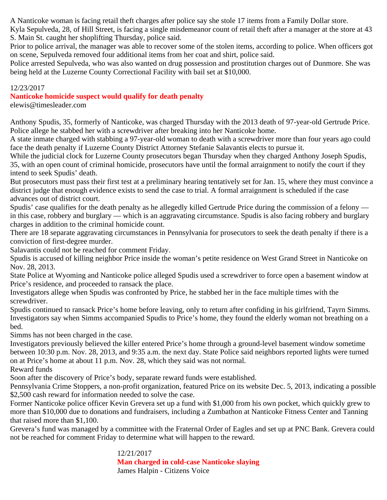A Nanticoke woman is facing retail theft charges after police say she stole 17 items from a Family Dollar store.

Kyla Sepulveda, 28, of Hill Street, is facing a single misdemeanor count of retail theft after a manager at the store at 43 S. Main St. caught her shoplifting Thursday, police said.

Prior to police arrival, the manager was able to recover some of the stolen items, according to police. When officers got on scene, Sepulveda removed four additional items from her coat and shirt, police said.

Police arrested Sepulveda, who was also wanted on drug possession and prostitution charges out of Dunmore. She was being held at the Luzerne County Correctional Facility with bail set at \$10,000.

## 12/23/2017

## **Nanticoke homicide suspect would qualify for death penalty**

elewis@timesleader.com

Anthony Spudis, 35, formerly of Nanticoke, was charged Thursday with the 2013 death of 97-year-old Gertrude Price. Police allege he stabbed her with a screwdriver after breaking into her Nanticoke home.

A state inmate charged with stabbing a 97-year-old woman to death with a screwdriver more than four years ago could face the death penalty if Luzerne County District Attorney Stefanie Salavantis elects to pursue it.

While the judicial clock for Luzerne County prosecutors began Thursday when they charged Anthony Joseph Spudis, 35, with an open count of criminal homicide, prosecutors have until the formal arraignment to notify the court if they intend to seek Spudis' death.

But prosecutors must pass their first test at a preliminary hearing tentatively set for Jan. 15, where they must convince a district judge that enough evidence exists to send the case to trial. A formal arraignment is scheduled if the case advances out of district court.

Spudis' case qualifies for the death penalty as he allegedly killed Gertrude Price during the commission of a felony in this case, robbery and burglary — which is an aggravating circumstance. Spudis is also facing robbery and burglary charges in addition to the criminal homicide count.

There are 18 separate aggravating circumstances in Pennsylvania for prosecutors to seek the death penalty if there is a conviction of first-degree murder.

Salavantis could not be reached for comment Friday.

Spudis is accused of killing neighbor Price inside the woman's petite residence on West Grand Street in Nanticoke on Nov. 28, 2013.

State Police at Wyoming and Nanticoke police alleged Spudis used a screwdriver to force open a basement window at Price's residence, and proceeded to ransack the place.

Investigators allege when Spudis was confronted by Price, he stabbed her in the face multiple times with the screwdriver.

Spudis continued to ransack Price's home before leaving, only to return after confiding in his girlfriend, Tayrn Simms. Investigators say when Simms accompanied Spudis to Price's home, they found the elderly woman not breathing on a bed.

Simms has not been charged in the case.

Investigators previously believed the killer entered Price's home through a ground-level basement window sometime between 10:30 p.m. Nov. 28, 2013, and 9:35 a.m. the next day. State Police said neighbors reported lights were turned on at Price's home at about 11 p.m. Nov. 28, which they said was not normal.

Reward funds

Soon after the discovery of Price's body, separate reward funds were established.

Pennsylvania Crime Stoppers, a non-profit organization, featured Price on its website Dec. 5, 2013, indicating a possible \$2,500 cash reward for information needed to solve the case.

Former Nanticoke police officer Kevin Grevera set up a fund with \$1,000 from his own pocket, which quickly grew to more than \$10,000 due to donations and fundraisers, including a Zumbathon at Nanticoke Fitness Center and Tanning that raised more than \$1,100.

Grevera's fund was managed by a committee with the Fraternal Order of Eagles and set up at PNC Bank. Grevera could not be reached for comment Friday to determine what will happen to the reward.

> 12/21/2017 **Man charged in cold-case Nanticoke slaying** James Halpin - Citizens Voice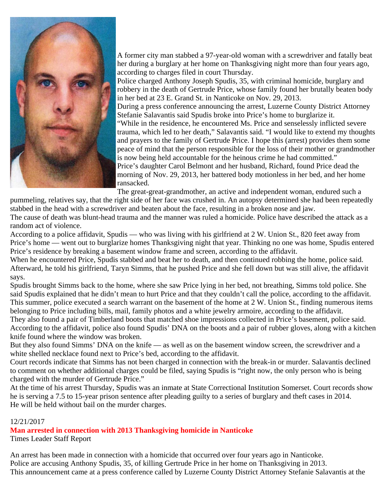

A former city man stabbed a 97-year-old woman with a screwdriver and fatally beat her during a burglary at her home on Thanksgiving night more than four years ago, according to charges filed in court Thursday.

Police charged Anthony Joseph Spudis, 35, with criminal homicide, burglary and robbery in the death of Gertrude Price, whose family found her brutally beaten body in her bed at 23 E. Grand St. in Nanticoke on Nov. 29, 2013.

During a press conference announcing the arrest, Luzerne County District Attorney Stefanie Salavantis said Spudis broke into Price's home to burglarize it.

"While in the residence, he encountered Ms. Price and senselessly inflicted severe trauma, which led to her death," Salavantis said. "I would like to extend my thoughts and prayers to the family of Gertrude Price. I hope this (arrest) provides them some peace of mind that the person responsible for the loss of their mother or grandmother is now being held accountable for the heinous crime he had committed."

Price's daughter Carol Belmont and her husband, Richard, found Price dead the morning of Nov. 29, 2013, her battered body motionless in her bed, and her home ransacked.

The great-great-grandmother, an active and independent woman, endured such a

pummeling, relatives say, that the right side of her face was crushed in. An autopsy determined she had been repeatedly stabbed in the head with a screwdriver and beaten about the face, resulting in a broken nose and jaw.

The cause of death was blunt-head trauma and the manner was ruled a homicide. Police have described the attack as a random act of violence.

According to a police affidavit, Spudis — who was living with his girlfriend at 2 W. Union St., 820 feet away from Price's home — went out to burglarize homes Thanksgiving night that year. Thinking no one was home, Spudis entered Price's residence by breaking a basement window frame and screen, according to the affidavit.

When he encountered Price, Spudis stabbed and beat her to death, and then continued robbing the home, police said. Afterward, he told his girlfriend, Taryn Simms, that he pushed Price and she fell down but was still alive, the affidavit says.

Spudis brought Simms back to the home, where she saw Price lying in her bed, not breathing, Simms told police. She said Spudis explained that he didn't mean to hurt Price and that they couldn't call the police, according to the affidavit. This summer, police executed a search warrant on the basement of the home at 2 W. Union St., finding numerous items belonging to Price including bills, mail, family photos and a white jewelry armoire, according to the affidavit.

They also found a pair of Timberland boots that matched shoe impressions collected in Price's basement, police said. According to the affidavit, police also found Spudis' DNA on the boots and a pair of rubber gloves, along with a kitchen knife found where the window was broken.

But they also found Simms' DNA on the knife — as well as on the basement window screen, the screwdriver and a white shelled necklace found next to Price's bed, according to the affidavit.

Court records indicate that Simms has not been charged in connection with the break-in or murder. Salavantis declined to comment on whether additional charges could be filed, saying Spudis is "right now, the only person who is being charged with the murder of Gertrude Price."

At the time of his arrest Thursday, Spudis was an inmate at State Correctional Institution Somerset. Court records show he is serving a 7.5 to 15-year prison sentence after pleading guilty to a series of burglary and theft cases in 2014. He will be held without bail on the murder charges.

## 12/21/2017

**Man arrested in connection with 2013 Thanksgiving homicide in Nanticoke**

Times Leader Staff Report

An arrest has been made in connection with a homicide that occurred over four years ago in Nanticoke. Police are accusing Anthony Spudis, 35, of killing Gertrude Price in her home on Thanksgiving in 2013. This announcement came at a press conference called by Luzerne County District Attorney Stefanie Salavantis at the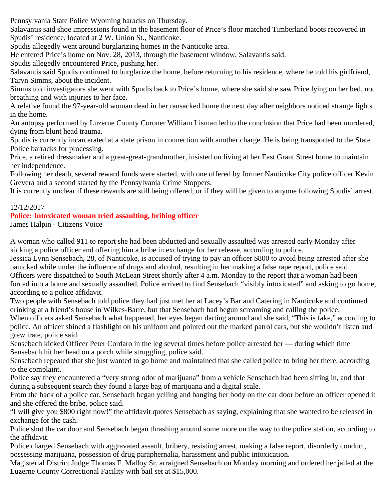Pennsylvania State Police Wyoming baracks on Thursday.

Salavantis said shoe impressions found in the basement floor of Price's floor matched Timberland boots recovered in Spudis' residence, located at 2 W. Union St., Nanticoke.

Spudis allegedly went around burglarizing homes in the Nanticoke area.

He entered Price's home on Nov. 28, 2013, through the basement window, Salavantis said.

Spudis allegedly encountered Price, pushing her.

Salavantis said Spudis continued to burglarize the home, before returning to his residence, where he told his girlfriend, Taryn Simms, about the incident.

Simms told investigators she went with Spudis back to Price's home, where she said she saw Price lying on her bed, not breathing and with injuries to her face.

A relative found the 97-year-old woman dead in her ransacked home the next day after neighbors noticed strange lights in the home.

An autopsy performed by Luzerne County Coroner William Lisman led to the conclusion that Price had been murdered, dying from blunt head trauma.

Spudis is currently incarcerated at a state prison in connection with another charge. He is being transported to the State Police barracks for processing.

Price, a retired dressmaker and a great-great-grandmother, insisted on living at her East Grant Street home to maintain her independence.

Following her death, several reward funds were started, with one offered by former Nanticoke City police officer Kevin Grevera and a second started by the Pennsylvania Crime Stoppers.

It is currently unclear if these rewards are still being offered, or if they will be given to anyone following Spudis' arrest.

# 12/12/2017

## **Police: Intoxicated woman tried assaulting, bribing officer**

James Halpin - Citizens Voice

A woman who called 911 to report she had been abducted and sexually assaulted was arrested early Monday after kicking a police officer and offering him a bribe in exchange for her release, according to police.

Jessica Lynn Sensebach, 28, of Nanticoke, is accused of trying to pay an officer \$800 to avoid being arrested after she panicked while under the influence of drugs and alcohol, resulting in her making a false rape report, police said. Officers were dispatched to South McLean Street shortly after 4 a.m. Monday to the report that a woman had been forced into a home and sexually assaulted. Police arrived to find Sensebach "visibly intoxicated" and asking to go home, according to a police affidavit.

Two people with Sensebach told police they had just met her at Lacey's Bar and Catering in Nanticoke and continued drinking at a friend's house in Wilkes-Barre, but that Sensebach had begun screaming and calling the police.

When officers asked Sensebach what happened, her eyes began darting around and she said, "This is fake," according to police. An officer shined a flashlight on his uniform and pointed out the marked patrol cars, but she wouldn't listen and grew irate, police said.

Sensebach kicked Officer Peter Cordaro in the leg several times before police arrested her — during which time Sensebach hit her head on a porch while struggling, police said.

Sensebach repeated that she just wanted to go home and maintained that she called police to bring her there, according to the complaint.

Police say they encountered a "very strong odor of marijuana" from a vehicle Sensebach had been sitting in, and that during a subsequent search they found a large bag of marijuana and a digital scale.

From the back of a police car, Sensebach began yelling and banging her body on the car door before an officer opened it and she offered the bribe, police said.

"I will give you \$800 right now!" the affidavit quotes Sensebach as saying, explaining that she wanted to be released in exchange for the cash.

Police shut the car door and Sensebach began thrashing around some more on the way to the police station, according to the affidavit.

Police charged Sensebach with aggravated assault, bribery, resisting arrest, making a false report, disorderly conduct, possessing marijuana, possession of drug paraphernalia, harassment and public intoxication.

Magisterial District Judge Thomas F. Malloy Sr. arraigned Sensebach on Monday morning and ordered her jailed at the Luzerne County Correctional Facility with bail set at \$15,000.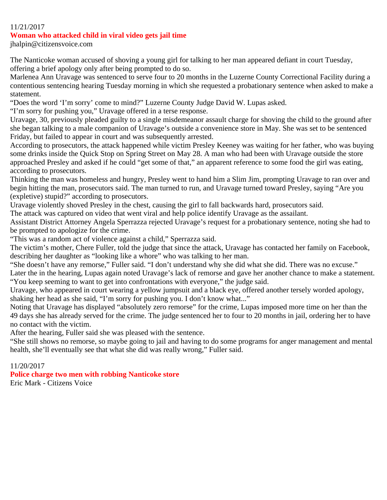#### 11/21/2017

#### **Woman who attacked child in viral video gets jail time**

jhalpin@citizensvoice.com

The Nanticoke woman accused of shoving a young girl for talking to her man appeared defiant in court Tuesday, offering a brief apology only after being prompted to do so.

Marlenea Ann Uravage was sentenced to serve four to 20 months in the Luzerne County Correctional Facility during a contentious sentencing hearing Tuesday morning in which she requested a probationary sentence when asked to make a statement.

"Does the word 'I'm sorry' come to mind?" Luzerne County Judge David W. Lupas asked.

"I'm sorry for pushing you," Uravage offered in a terse response.

Uravage, 30, previously pleaded guilty to a single misdemeanor assault charge for shoving the child to the ground after she began talking to a male companion of Uravage's outside a convenience store in May. She was set to be sentenced Friday, but failed to appear in court and was subsequently arrested.

According to prosecutors, the attack happened while victim Presley Keeney was waiting for her father, who was buying some drinks inside the Quick Stop on Spring Street on May 28. A man who had been with Uravage outside the store approached Presley and asked if he could "get some of that," an apparent reference to some food the girl was eating, according to prosecutors.

Thinking the man was homeless and hungry, Presley went to hand him a Slim Jim, prompting Uravage to ran over and begin hitting the man, prosecutors said. The man turned to run, and Uravage turned toward Presley, saying "Are you (expletive) stupid?" according to prosecutors.

Uravage violently shoved Presley in the chest, causing the girl to fall backwards hard, prosecutors said.

The attack was captured on video that went viral and help police identify Uravage as the assailant.

Assistant District Attorney Angela Sperrazza rejected Uravage's request for a probationary sentence, noting she had to be prompted to apologize for the crime.

"This was a random act of violence against a child," Sperrazza said.

The victim's mother, Chere Fuller, told the judge that since the attack, Uravage has contacted her family on Facebook, describing her daughter as "looking like a whore" who was talking to her man.

"She doesn't have any remorse," Fuller said. "I don't understand why she did what she did. There was no excuse."

Later the in the hearing, Lupas again noted Uravage's lack of remorse and gave her another chance to make a statement. "You keep seeming to want to get into confrontations with everyone," the judge said.

Uravage, who appeared in court wearing a yellow jumpsuit and a black eye, offered another tersely worded apology, shaking her head as she said, "I'm sorry for pushing you. I don't know what..."

Noting that Uravage has displayed "absolutely zero remorse" for the crime, Lupas imposed more time on her than the 49 days she has already served for the crime. The judge sentenced her to four to 20 months in jail, ordering her to have no contact with the victim.

After the hearing, Fuller said she was pleased with the sentence.

"She still shows no remorse, so maybe going to jail and having to do some programs for anger management and mental health, she'll eventually see that what she did was really wrong," Fuller said.

11/20/2017

**Police charge two men with robbing Nanticoke store**

Eric Mark - Citizens Voice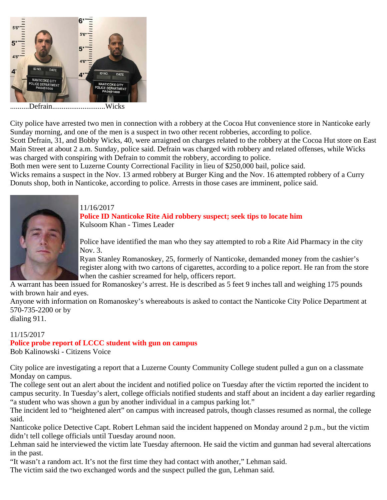

..........Defrain............................Wicks

City police have arrested two men in connection with a robbery at the Cocoa Hut convenience store in Nanticoke early Sunday morning, and one of the men is a suspect in two other recent robberies, according to police.

Scott Defrain, 31, and Bobby Wicks, 40, were arraigned on charges related to the robbery at the Cocoa Hut store on East Main Street at about 2 a.m. Sunday, police said. Defrain was charged with robbery and related offenses, while Wicks was charged with conspiring with Defrain to commit the robbery, according to police.

Both men were sent to Luzerne County Correctional Facility in lieu of \$250,000 bail, police said.

Wicks remains a suspect in the Nov. 13 armed robbery at Burger King and the Nov. 16 attempted robbery of a Curry Donuts shop, both in Nanticoke, according to police. Arrests in those cases are imminent, police said.



# 11/16/2017

#### **Police ID Nanticoke Rite Aid robbery suspect; seek tips to locate him** Kulsoom Khan - Times Leader

Police have identified the man who they say attempted to rob a Rite Aid Pharmacy in the city Nov. 3.

Ryan Stanley Romanoskey, 25, formerly of Nanticoke, demanded money from the cashier's register along with two cartons of cigarettes, according to a police report. He ran from the store when the cashier screamed for help, officers report.

A warrant has been issued for Romanoskey's arrest. He is described as 5 feet 9 inches tall and weighing 175 pounds with brown hair and eyes.

Anyone with information on Romanoskey's whereabouts is asked to contact the Nanticoke City Police Department at 570-735-2200 or by

dialing 911.

## 11/15/2017 **Police probe report of LCCC student with gun on campus** Bob Kalinowski - Citizens Voice

City police are investigating a report that a Luzerne County Community College student pulled a gun on a classmate Monday on campus.

The college sent out an alert about the incident and notified police on Tuesday after the victim reported the incident to campus security. In Tuesday's alert, college officials notified students and staff about an incident a day earlier regarding "a student who was shown a gun by another individual in a campus parking lot."

The incident led to "heightened alert" on campus with increased patrols, though classes resumed as normal, the college said.

Nanticoke police Detective Capt. Robert Lehman said the incident happened on Monday around 2 p.m., but the victim didn't tell college officials until Tuesday around noon.

Lehman said he interviewed the victim late Tuesday afternoon. He said the victim and gunman had several altercations in the past.

"It wasn't a random act. It's not the first time they had contact with another," Lehman said.

The victim said the two exchanged words and the suspect pulled the gun, Lehman said.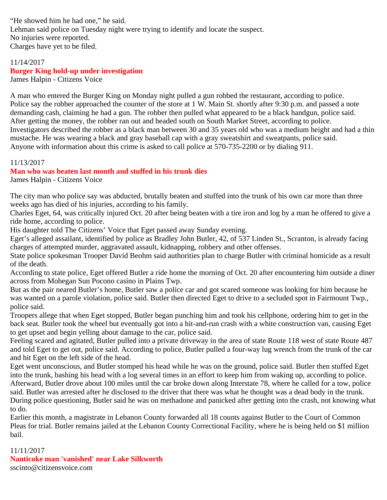"He showed him he had one," he said. Lehman said police on Tuesday night were trying to identify and locate the suspect. No injuries were reported. Charges have yet to be filed.

#### 11/14/2017 **Burger King hold-up under investigation** James Halpin - Citizens Voice

A man who entered the Burger King on Monday night pulled a gun robbed the restaurant, according to police. Police say the robber approached the counter of the store at 1 W. Main St. shortly after 9:30 p.m. and passed a note demanding cash, claiming he had a gun. The robber then pulled what appeared to be a black handgun, police said. After getting the money, the robber ran out and headed south on South Market Street, according to police. Investigators described the robber as a black man between 30 and 35 years old who was a medium height and had a thin mustache. He was wearing a black and gray baseball cap with a gray sweatshirt and sweatpants, police said.

Anyone with information about this crime is asked to call police at 570-735-2200 or by dialing 911.

#### 11/13/2017

#### **Man who was beaten last month and stuffed in his trunk dies**

James Halpin - Citizens Voice

The city man who police say was abducted, brutally beaten and stuffed into the trunk of his own car more than three weeks ago has died of his injuries, according to his family.

Charles Eget, 64, was critically injured Oct. 20 after being beaten with a tire iron and log by a man he offered to give a ride home, according to police.

His daughter told The Citizens' Voice that Eget passed away Sunday evening.

Eget's alleged assailant, identified by police as Bradley John Butler, 42, of 537 Linden St., Scranton, is already facing charges of attempted murder, aggravated assault, kidnapping, robbery and other offenses.

State police spokesman Trooper David Beohm said authorities plan to charge Butler with criminal homicide as a result of the death.

According to state police, Eget offered Butler a ride home the morning of Oct. 20 after encountering him outside a diner across from Mohegan Sun Pocono casino in Plains Twp.

But as the pair neared Butler's home, Butler saw a police car and got scared someone was looking for him because he was wanted on a parole violation, police said. Butler then directed Eget to drive to a secluded spot in Fairmount Twp., police said.

Troopers allege that when Eget stopped, Butler began punching him and took his cellphone, ordering him to get in the back seat. Butler took the wheel but eventually got into a hit-and-run crash with a white construction van, causing Eget to get upset and begin yelling about damage to the car, police said.

Feeling scared and agitated, Butler pulled into a private driveway in the area of state Route 118 west of state Route 487 and told Eget to get out, police said. According to police, Butler pulled a four-way lug wrench from the trunk of the car and hit Eget on the left side of the head.

Eget went unconscious, and Butler stomped his head while he was on the ground, police said. Butler then stuffed Eget into the trunk, bashing his head with a log several times in an effort to keep him from waking up, according to police. Afterward, Butler drove about 100 miles until the car broke down along Interstate 78, where he called for a tow, police said. Butler was arrested after he disclosed to the driver that there was what he thought was a dead body in the trunk. During police questioning, Butler said he was on methadone and panicked after getting into the crash, not knowing what to do.

Earlier this month, a magistrate in Lebanon County forwarded all 18 counts against Butler to the Court of Common Pleas for trial. Butler remains jailed at the Lebanon County Correctional Facility, where he is being held on \$1 million bail.

#### 11/11/2017

**Nanticoke man 'vanished' near Lake Silkworth** sscinto@citizensvoice.com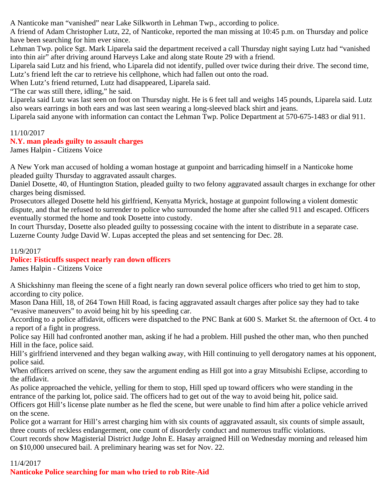A Nanticoke man "vanished" near Lake Silkworth in Lehman Twp., according to police.

A friend of Adam Christopher Lutz, 22, of Nanticoke, reported the man missing at 10:45 p.m. on Thursday and police have been searching for him ever since.

Lehman Twp. police Sgt. Mark Liparela said the department received a call Thursday night saying Lutz had "vanished into thin air" after driving around Harveys Lake and along state Route 29 with a friend.

Liparela said Lutz and his friend, who Liparela did not identify, pulled over twice during their drive. The second time, Lutz's friend left the car to retrieve his cellphone, which had fallen out onto the road.

When Lutz's friend returned, Lutz had disappeared, Liparela said.

"The car was still there, idling," he said.

Liparela said Lutz was last seen on foot on Thursday night. He is 6 feet tall and weighs 145 pounds, Liparela said. Lutz also wears earrings in both ears and was last seen wearing a long-sleeved black shirt and jeans.

Liparela said anyone with information can contact the Lehman Twp. Police Department at 570-675-1483 or dial 911.

## 11/10/2017

## **N.Y. man pleads guilty to assault charges**

James Halpin - Citizens Voice

A New York man accused of holding a woman hostage at gunpoint and barricading himself in a Nanticoke home pleaded guilty Thursday to aggravated assault charges.

Daniel Dosette, 40, of Huntington Station, pleaded guilty to two felony aggravated assault charges in exchange for other charges being dismissed.

Prosecutors alleged Dosette held his girlfriend, Kenyatta Myrick, hostage at gunpoint following a violent domestic dispute, and that he refused to surrender to police who surrounded the home after she called 911 and escaped. Officers eventually stormed the home and took Dosette into custody.

In court Thursday, Dosette also pleaded guilty to possessing cocaine with the intent to distribute in a separate case. Luzerne County Judge David W. Lupas accepted the pleas and set sentencing for Dec. 28.

11/9/2017

# **Police: Fisticuffs suspect nearly ran down officers**

James Halpin - Citizens Voice

A Shickshinny man fleeing the scene of a fight nearly ran down several police officers who tried to get him to stop, according to city police.

Mason Dana Hill, 18, of 264 Town Hill Road, is facing aggravated assault charges after police say they had to take "evasive maneuvers" to avoid being hit by his speeding car.

According to a police affidavit, officers were dispatched to the PNC Bank at 600 S. Market St. the afternoon of Oct. 4 to a report of a fight in progress.

Police say Hill had confronted another man, asking if he had a problem. Hill pushed the other man, who then punched Hill in the face, police said.

Hill's girlfriend intervened and they began walking away, with Hill continuing to yell derogatory names at his opponent, police said.

When officers arrived on scene, they saw the argument ending as Hill got into a gray Mitsubishi Eclipse, according to the affidavit.

As police approached the vehicle, yelling for them to stop, Hill sped up toward officers who were standing in the entrance of the parking lot, police said. The officers had to get out of the way to avoid being hit, police said.

Officers got Hill's license plate number as he fled the scene, but were unable to find him after a police vehicle arrived on the scene.

Police got a warrant for Hill's arrest charging him with six counts of aggravated assault, six counts of simple assault, three counts of reckless endangerment, one count of disorderly conduct and numerous traffic violations.

Court records show Magisterial District Judge John E. Hasay arraigned Hill on Wednesday morning and released him on \$10,000 unsecured bail. A preliminary hearing was set for Nov. 22.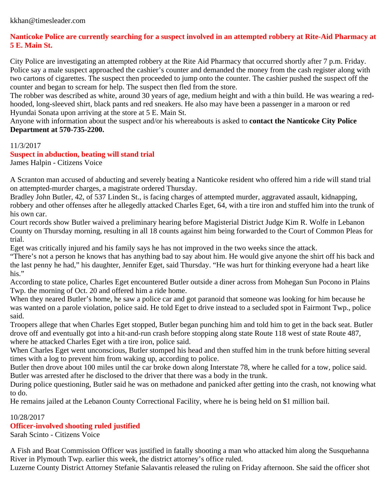# **Nanticoke Police are currently searching for a suspect involved in an attempted robbery at Rite-Aid Pharmacy at 5 E. Main St.**

City Police are investigating an attempted robbery at the Rite Aid Pharmacy that occurred shortly after 7 p.m. Friday. Police say a male suspect approached the cashier's counter and demanded the money from the cash register along with two cartons of cigarettes. The suspect then proceeded to jump onto the counter. The cashier pushed the suspect off the counter and began to scream for help. The suspect then fled from the store.

The robber was described as white, around 30 years of age, medium height and with a thin build. He was wearing a redhooded, long-sleeved shirt, black pants and red sneakers. He also may have been a passenger in a maroon or red Hyundai Sonata upon arriving at the store at 5 E. Main St.

Anyone with information about the suspect and/or his whereabouts is asked to **contact the Nanticoke City Police Department at 570-735-2200.**

11/3/2017

## **Suspect in abduction, beating will stand trial**

James Halpin - Citizens Voice

A Scranton man accused of abducting and severely beating a Nanticoke resident who offered him a ride will stand trial on attempted-murder charges, a magistrate ordered Thursday.

Bradley John Butler, 42, of 537 Linden St., is facing charges of attempted murder, aggravated assault, kidnapping, robbery and other offenses after he allegedly attacked Charles Eget, 64, with a tire iron and stuffed him into the trunk of his own car.

Court records show Butler waived a preliminary hearing before Magisterial District Judge Kim R. Wolfe in Lebanon County on Thursday morning, resulting in all 18 counts against him being forwarded to the Court of Common Pleas for trial.

Eget was critically injured and his family says he has not improved in the two weeks since the attack.

"There's not a person he knows that has anything bad to say about him. He would give anyone the shirt off his back and the last penny he had," his daughter, Jennifer Eget, said Thursday. "He was hurt for thinking everyone had a heart like his."

According to state police, Charles Eget encountered Butler outside a diner across from Mohegan Sun Pocono in Plains Twp. the morning of Oct. 20 and offered him a ride home.

When they neared Butler's home, he saw a police car and got paranoid that someone was looking for him because he was wanted on a parole violation, police said. He told Eget to drive instead to a secluded spot in Fairmont Twp., police said.

Troopers allege that when Charles Eget stopped, Butler began punching him and told him to get in the back seat. Butler drove off and eventually got into a hit-and-run crash before stopping along state Route 118 west of state Route 487, where he attacked Charles Eget with a tire iron, police said.

When Charles Eget went unconscious, Butler stomped his head and then stuffed him in the trunk before hitting several times with a log to prevent him from waking up, according to police.

Butler then drove about 100 miles until the car broke down along Interstate 78, where he called for a tow, police said. Butler was arrested after he disclosed to the driver that there was a body in the trunk.

During police questioning, Butler said he was on methadone and panicked after getting into the crash, not knowing what to do.

He remains jailed at the Lebanon County Correctional Facility, where he is being held on \$1 million bail.

10/28/2017

# **Officer-involved shooting ruled justified**

Sarah Scinto - Citizens Voice

A Fish and Boat Commission Officer was justified in fatally shooting a man who attacked him along the Susquehanna River in Plymouth Twp. earlier this week, the district attorney's office ruled.

Luzerne County District Attorney Stefanie Salavantis released the ruling on Friday afternoon. She said the officer shot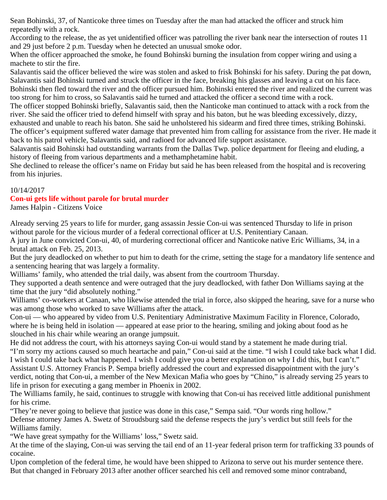Sean Bohinski, 37, of Nanticoke three times on Tuesday after the man had attacked the officer and struck him repeatedly with a rock.

According to the release, the as yet unidentified officer was patrolling the river bank near the intersection of routes 11 and 29 just before 2 p.m. Tuesday when he detected an unusual smoke odor.

When the officer approached the smoke, he found Bohinski burning the insulation from copper wiring and using a machete to stir the fire.

Salavantis said the officer believed the wire was stolen and asked to frisk Bohinski for his safety. During the pat down, Salavantis said Bohinski turned and struck the officer in the face, breaking his glasses and leaving a cut on his face. Bohinski then fled toward the river and the officer pursued him. Bohinski entered the river and realized the current was too strong for him to cross, so Salavantis said he turned and attacked the officer a second time with a rock.

The officer stopped Bohinski briefly, Salavantis said, then the Nanticoke man continued to attack with a rock from the river. She said the officer tried to defend himself with spray and his baton, but he was bleeding excessively, dizzy,

exhausted and unable to reach his baton. She said he unholstered his sidearm and fired three times, striking Bohinski. The officer's equipment suffered water damage that prevented him from calling for assistance from the river. He made it back to his patrol vehicle, Salavantis said, and radioed for advanced life support assistance.

Salavantis said Bohinski had outstanding warrants from the Dallas Twp. police department for fleeing and eluding, a history of fleeing from various departments and a methamphetamine habit.

She declined to release the officer's name on Friday but said he has been released from the hospital and is recovering from his injuries.

## 10/14/2017

# **Con-ui gets life without parole for brutal murder**

James Halpin - Citizens Voice

Already serving 25 years to life for murder, gang assassin Jessie Con-ui was sentenced Thursday to life in prison without parole for the vicious murder of a federal correctional officer at U.S. Penitentiary Canaan.

A jury in June convicted Con-ui, 40, of murdering correctional officer and Nanticoke native Eric Williams, 34, in a brutal attack on Feb. 25, 2013.

But the jury deadlocked on whether to put him to death for the crime, setting the stage for a mandatory life sentence and a sentencing hearing that was largely a formality.

Williams' family, who attended the trial daily, was absent from the courtroom Thursday.

They supported a death sentence and were outraged that the jury deadlocked, with father Don Williams saying at the time that the jury "did absolutely nothing."

Williams' co-workers at Canaan, who likewise attended the trial in force, also skipped the hearing, save for a nurse who was among those who worked to save Williams after the attack.

Con-ui — who appeared by video from U.S. Penitentiary Administrative Maximum Facility in Florence, Colorado, where he is being held in isolation — appeared at ease prior to the hearing, smiling and joking about food as he slouched in his chair while wearing an orange jumpsuit.

He did not address the court, with his attorneys saying Con-ui would stand by a statement he made during trial. "I'm sorry my actions caused so much heartache and pain," Con-ui said at the time. "I wish I could take back what I did. I wish I could take back what happened. I wish I could give you a better explanation on why I did this, but I can't." Assistant U.S. Attorney Francis P. Sempa briefly addressed the court and expressed disappointment with the jury's verdict, noting that Con-ui, a member of the New Mexican Mafia who goes by "Chino," is already serving 25 years to life in prison for executing a gang member in Phoenix in 2002.

The Williams family, he said, continues to struggle with knowing that Con-ui has received little additional punishment for his crime.

"They're never going to believe that justice was done in this case," Sempa said. "Our words ring hollow." Defense attorney James A. Swetz of Stroudsburg said the defense respects the jury's verdict but still feels for the Williams family.

"We have great sympathy for the Williams' loss," Swetz said.

At the time of the slaying, Con-ui was serving the tail end of an 11-year federal prison term for trafficking 33 pounds of cocaine.

Upon completion of the federal time, he would have been shipped to Arizona to serve out his murder sentence there. But that changed in February 2013 after another officer searched his cell and removed some minor contraband,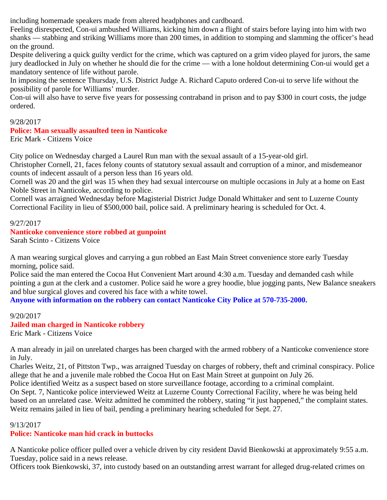including homemade speakers made from altered headphones and cardboard.

Feeling disrespected, Con-ui ambushed Williams, kicking him down a flight of stairs before laying into him with two shanks — stabbing and striking Williams more than 200 times, in addition to stomping and slamming the officer's head on the ground.

Despite delivering a quick guilty verdict for the crime, which was captured on a grim video played for jurors, the same jury deadlocked in July on whether he should die for the crime — with a lone holdout determining Con-ui would get a mandatory sentence of life without parole.

In imposing the sentence Thursday, U.S. District Judge A. Richard Caputo ordered Con-ui to serve life without the possibility of parole for Williams' murder.

Con-ui will also have to serve five years for possessing contraband in prison and to pay \$300 in court costs, the judge ordered.

## 9/28/2017

## **Police: Man sexually assaulted teen in Nanticoke**

Eric Mark - Citizens Voice

City police on Wednesday charged a Laurel Run man with the sexual assault of a 15-year-old girl.

Christopher Cornell, 21, faces felony counts of statutory sexual assault and corruption of a minor, and misdemeanor counts of indecent assault of a person less than 16 years old.

Cornell was 20 and the girl was 15 when they had sexual intercourse on multiple occasions in July at a home on East Noble Street in Nanticoke, according to police.

Cornell was arraigned Wednesday before Magisterial District Judge Donald Whittaker and sent to Luzerne County Correctional Facility in lieu of \$500,000 bail, police said. A preliminary hearing is scheduled for Oct. 4.

#### 9/27/2017

## **Nanticoke convenience store robbed at gunpoint**

Sarah Scinto - Citizens Voice

A man wearing surgical gloves and carrying a gun robbed an East Main Street convenience store early Tuesday morning, police said.

Police said the man entered the Cocoa Hut Convenient Mart around 4:30 a.m. Tuesday and demanded cash while pointing a gun at the clerk and a customer. Police said he wore a grey hoodie, blue jogging pants, New Balance sneakers and blue surgical gloves and covered his face with a white towel.

**Anyone with information on the robbery can contact Nanticoke City Police at 570-735-2000.**

9/20/2017 **Jailed man charged in Nanticoke robbery** Eric Mark - Citizens Voice

A man already in jail on unrelated charges has been charged with the armed robbery of a Nanticoke convenience store in July.

Charles Weitz, 21, of Pittston Twp., was arraigned Tuesday on charges of robbery, theft and criminal conspiracy. Police allege that he and a juvenile male robbed the Cocoa Hut on East Main Street at gunpoint on July 26.

Police identified Weitz as a suspect based on store surveillance footage, according to a criminal complaint. On Sept. 7, Nanticoke police interviewed Weitz at Luzerne County Correctional Facility, where he was being held based on an unrelated case. Weitz admitted he committed the robbery, stating "it just happened," the complaint states. Weitz remains jailed in lieu of bail, pending a preliminary hearing scheduled for Sept. 27.

## 9/13/2017

# **Police: Nanticoke man hid crack in buttocks**

A Nanticoke police officer pulled over a vehicle driven by city resident David Bienkowski at approximately 9:55 a.m. Tuesday, police said in a news release.

Officers took Bienkowski, 37, into custody based on an outstanding arrest warrant for alleged drug-related crimes on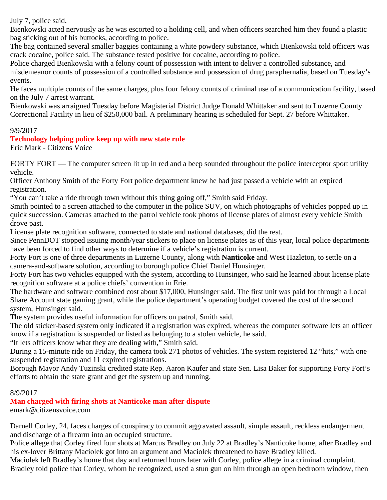July 7, police said.

Bienkowski acted nervously as he was escorted to a holding cell, and when officers searched him they found a plastic bag sticking out of his buttocks, according to police.

The bag contained several smaller baggies containing a white powdery substance, which Bienkowski told officers was crack cocaine, police said. The substance tested positive for cocaine, according to police.

Police charged Bienkowski with a felony count of possession with intent to deliver a controlled substance, and misdemeanor counts of possession of a controlled substance and possession of drug paraphernalia, based on Tuesday's events.

He faces multiple counts of the same charges, plus four felony counts of criminal use of a communication facility, based on the July 7 arrest warrant.

Bienkowski was arraigned Tuesday before Magisterial District Judge Donald Whittaker and sent to Luzerne County Correctional Facility in lieu of \$250,000 bail. A preliminary hearing is scheduled for Sept. 27 before Whittaker.

## 9/9/2017

# **Technology helping police keep up with new state rule**

Eric Mark - Citizens Voice

FORTY FORT — The computer screen lit up in red and a beep sounded throughout the police interceptor sport utility vehicle.

Officer Anthony Smith of the Forty Fort police department knew he had just passed a vehicle with an expired registration.

"You can't take a ride through town without this thing going off," Smith said Friday.

Smith pointed to a screen attached to the computer in the police SUV, on which photographs of vehicles popped up in quick succession. Cameras attached to the patrol vehicle took photos of license plates of almost every vehicle Smith drove past.

License plate recognition software, connected to state and national databases, did the rest.

Since PennDOT stopped issuing month/year stickers to place on license plates as of this year, local police departments have been forced to find other ways to determine if a vehicle's registration is current.

Forty Fort is one of three departments in Luzerne County, along with **Nanticoke** and West Hazleton, to settle on a camera-and-software solution, according to borough police Chief Daniel Hunsinger.

Forty Fort has two vehicles equipped with the system, according to Hunsinger, who said he learned about license plate recognition software at a police chiefs' convention in Erie.

The hardware and software combined cost about \$17,000, Hunsinger said. The first unit was paid for through a Local Share Account state gaming grant, while the police department's operating budget covered the cost of the second system, Hunsinger said.

The system provides useful information for officers on patrol, Smith said.

The old sticker-based system only indicated if a registration was expired, whereas the computer software lets an officer know if a registration is suspended or listed as belonging to a stolen vehicle, he said.

"It lets officers know what they are dealing with," Smith said.

During a 15-minute ride on Friday, the camera took 271 photos of vehicles. The system registered 12 "hits," with one suspended registration and 11 expired registrations.

Borough Mayor Andy Tuzinski credited state Rep. Aaron Kaufer and state Sen. Lisa Baker for supporting Forty Fort's efforts to obtain the state grant and get the system up and running.

## 8/9/2017

**Man charged with firing shots at Nanticoke man after dispute**

emark@citizensvoice.com

Darnell Corley, 24, faces charges of conspiracy to commit aggravated assault, simple assault, reckless endangerment and discharge of a firearm into an occupied structure.

Police allege that Corley fired four shots at Marcus Bradley on July 22 at Bradley's Nanticoke home, after Bradley and his ex-lover Brittany Maciolek got into an argument and Maciolek threatened to have Bradley killed.

Maciolek left Bradley's home that day and returned hours later with Corley, police allege in a criminal complaint. Bradley told police that Corley, whom he recognized, used a stun gun on him through an open bedroom window, then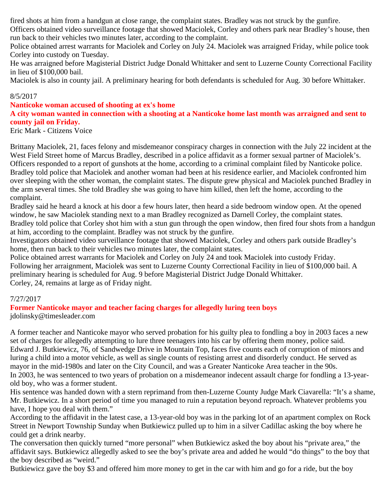fired shots at him from a handgun at close range, the complaint states. Bradley was not struck by the gunfire.

Officers obtained video surveillance footage that showed Maciolek, Corley and others park near Bradley's house, then run back to their vehicles two minutes later, according to the complaint.

Police obtained arrest warrants for Maciolek and Corley on July 24. Maciolek was arraigned Friday, while police took Corley into custody on Tuesday.

He was arraigned before Magisterial District Judge Donald Whittaker and sent to Luzerne County Correctional Facility in lieu of \$100,000 bail.

Maciolek is also in county jail. A preliminary hearing for both defendants is scheduled for Aug. 30 before Whittaker.

#### 8/5/2017

#### **Nanticoke woman accused of shooting at ex's home**

## **A city woman wanted in connection with a shooting at a Nanticoke home last month was arraigned and sent to county jail on Friday.**

Eric Mark - Citizens Voice

Brittany Maciolek, 21, faces felony and misdemeanor conspiracy charges in connection with the July 22 incident at the West Field Street home of Marcus Bradley, described in a police affidavit as a former sexual partner of Maciolek's. Officers responded to a report of gunshots at the home, according to a criminal complaint filed by Nanticoke police. Bradley told police that Maciolek and another woman had been at his residence earlier, and Maciolek confronted him over sleeping with the other woman, the complaint states. The dispute grew physical and Maciolek punched Bradley in the arm several times. She told Bradley she was going to have him killed, then left the home, according to the complaint.

Bradley said he heard a knock at his door a few hours later, then heard a side bedroom window open. At the opened window, he saw Maciolek standing next to a man Bradley recognized as Darnell Corley, the complaint states. Bradley told police that Corley shot him with a stun gun through the open window, then fired four shots from a handgun at him, according to the complaint. Bradley was not struck by the gunfire.

Investigators obtained video surveillance footage that showed Maciolek, Corley and others park outside Bradley's home, then run back to their vehicles two minutes later, the complaint states.

Police obtained arrest warrants for Maciolek and Corley on July 24 and took Maciolek into custody Friday. Following her arraignment, Maciolek was sent to Luzerne County Correctional Facility in lieu of \$100,000 bail. A preliminary hearing is scheduled for Aug. 9 before Magisterial District Judge Donald Whittaker. Corley, 24, remains at large as of Friday night.

# 7/27/2017

# **Former Nanticoke mayor and teacher facing charges for allegedly luring teen boys**

jdolinsky@timesleader.com

A former teacher and Nanticoke mayor who served probation for his guilty plea to fondling a boy in 2003 faces a new set of charges for allegedly attempting to lure three teenagers into his car by offering them money, police said. Edward J. Butkiewicz, 76, of Sandwedge Drive in Mountain Top, faces five counts each of corruption of minors and luring a child into a motor vehicle, as well as single counts of resisting arrest and disorderly conduct. He served as mayor in the mid-1980s and later on the City Council, and was a Greater Nanticoke Area teacher in the 90s. In 2003, he was sentenced to two years of probation on a misdemeanor indecent assault charge for fondling a 13-yearold boy, who was a former student.

His sentence was handed down with a stern reprimand from then-Luzerne County Judge Mark Ciavarella: "It's a shame, Mr. Butkiewicz. In a short period of time you managed to ruin a reputation beyond reproach. Whatever problems you have, I hope you deal with them."

According to the affidavit in the latest case, a 13-year-old boy was in the parking lot of an apartment complex on Rock Street in Newport Township Sunday when Butkiewicz pulled up to him in a silver Cadillac asking the boy where he could get a drink nearby.

The conversation then quickly turned "more personal" when Butkiewicz asked the boy about his "private area," the affidavit says. Butkiewicz allegedly asked to see the boy's private area and added he would "do things" to the boy that the boy described as "weird."

Butkiewicz gave the boy \$3 and offered him more money to get in the car with him and go for a ride, but the boy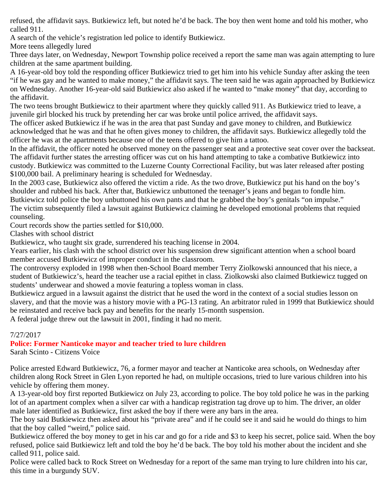refused, the affidavit says. Butkiewicz left, but noted he'd be back. The boy then went home and told his mother, who called 911.

A search of the vehicle's registration led police to identify Butkiewicz.

More teens allegedly lured

Three days later, on Wednesday, Newport Township police received a report the same man was again attempting to lure children at the same apartment building.

A 16-year-old boy told the responding officer Butkiewicz tried to get him into his vehicle Sunday after asking the teen "if he was gay and he wanted to make money," the affidavit says. The teen said he was again approached by Butkiewicz on Wednesday. Another 16-year-old said Butkiewicz also asked if he wanted to "make money" that day, according to the affidavit.

The two teens brought Butkiewicz to their apartment where they quickly called 911. As Butkiewicz tried to leave, a juvenile girl blocked his truck by pretending her car was broke until police arrived, the affidavit says.

The officer asked Butkiewicz if he was in the area that past Sunday and gave money to children, and Butkiewicz acknowledged that he was and that he often gives money to children, the affidavit says. Butkiewicz allegedly told the officer he was at the apartments because one of the teens offered to give him a tattoo.

In the affidavit, the officer noted he observed money on the passenger seat and a protective seat cover over the backseat. The affidavit further states the arresting officer was cut on his hand attempting to take a combative Butkiewicz into custody. Butkiewicz was committed to the Luzerne County Correctional Facility, but was later released after posting \$100,000 bail. A preliminary hearing is scheduled for Wednesday.

In the 2003 case, Butkiewicz also offered the victim a ride. As the two drove, Butkiewicz put his hand on the boy's shoulder and rubbed his back. After that, Butkiewicz unbuttoned the teenager's jeans and began to fondle him. Butkiewicz told police the boy unbuttoned his own pants and that he grabbed the boy's genitals "on impulse." The victim subsequently filed a lawsuit against Butkiewicz claiming he developed emotional problems that requied counseling.

Court records show the parties settled for \$10,000.

Clashes with school district

Butkiewicz, who taught six grade, surrendered his teaching license in 2004.

Years earlier, his clash with the school district over his suspension drew significant attention when a school board member accused Butkiewicz of improper conduct in the classroom.

The controversy exploded in 1998 when then-School Board member Terry Ziolkowski announced that his niece, a student of Butkiewicz's, heard the teacher use a racial epithet in class. Ziolkowski also claimed Butkiewicz tugged on students' underwear and showed a movie featuring a topless woman in class.

Butkiewicz argued in a lawsuit against the district that he used the word in the context of a social studies lesson on slavery, and that the movie was a history movie with a PG-13 rating. An arbitrator ruled in 1999 that Butkiewicz should be reinstated and receive back pay and benefits for the nearly 15-month suspension.

A federal judge threw out the lawsuit in 2001, finding it had no merit.

7/27/2017

# **Police: Former Nanticoke mayor and teacher tried to lure children**

Sarah Scinto - Citizens Voice

Police arrested Edward Butkiewicz, 76, a former mayor and teacher at Nanticoke area schools, on Wednesday after children along Rock Street in Glen Lyon reported he had, on multiple occasions, tried to lure various children into his vehicle by offering them money.

A 13-year-old boy first reported Butkiewicz on July 23, according to police. The boy told police he was in the parking lot of an apartment complex when a silver car with a handicap registration tag drove up to him. The driver, an older male later identified as Butkiewicz, first asked the boy if there were any bars in the area.

The boy said Butkiewicz then asked about his "private area" and if he could see it and said he would do things to him that the boy called "weird," police said.

Butkiewicz offered the boy money to get in his car and go for a ride and \$3 to keep his secret, police said. When the boy refused, police said Butkiewicz left and told the boy he'd be back. The boy told his mother about the incident and she called 911, police said.

Police were called back to Rock Street on Wednesday for a report of the same man trying to lure children into his car, this time in a burgundy SUV.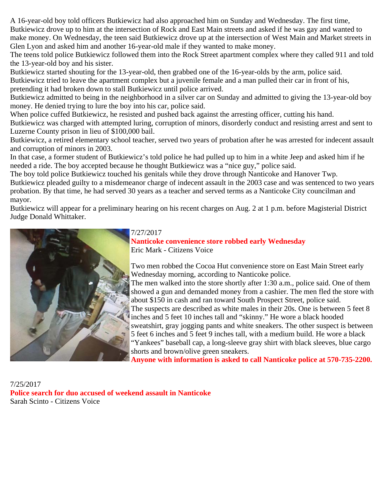A 16-year-old boy told officers Butkiewicz had also approached him on Sunday and Wednesday. The first time, Butkiewicz drove up to him at the intersection of Rock and East Main streets and asked if he was gay and wanted to make money. On Wednesday, the teen said Butkiewicz drove up at the intersection of West Main and Market streets in Glen Lyon and asked him and another 16-year-old male if they wanted to make money.

The teens told police Butkiewicz followed them into the Rock Street apartment complex where they called 911 and told the 13-year-old boy and his sister.

Butkiewicz started shouting for the 13-year-old, then grabbed one of the 16-year-olds by the arm, police said. Butkiewicz tried to leave the apartment complex but a juvenile female and a man pulled their car in front of his, pretending it had broken down to stall Butkiewicz until police arrived.

Butkiewicz admitted to being in the neighborhood in a silver car on Sunday and admitted to giving the 13-year-old boy money. He denied trying to lure the boy into his car, police said.

When police cuffed Butkiewicz, he resisted and pushed back against the arresting officer, cutting his hand.

Butkiewicz was charged with attempted luring, corruption of minors, disorderly conduct and resisting arrest and sent to Luzerne County prison in lieu of \$100,000 bail.

Butkiewicz, a retired elementary school teacher, served two years of probation after he was arrested for indecent assault and corruption of minors in 2003.

In that case, a former student of Butkiewicz's told police he had pulled up to him in a white Jeep and asked him if he needed a ride. The boy accepted because he thought Butkiewicz was a "nice guy," police said.

The boy told police Butkiewicz touched his genitals while they drove through Nanticoke and Hanover Twp. Butkiewicz pleaded guilty to a misdemeanor charge of indecent assault in the 2003 case and was sentenced to two years probation. By that time, he had served 30 years as a teacher and served terms as a Nanticoke City councilman and mayor.

Butkiewicz will appear for a preliminary hearing on his recent charges on Aug. 2 at 1 p.m. before Magisterial District Judge Donald Whittaker.



# 7/27/2017

**Nanticoke convenience store robbed early Wednesday** Eric Mark - Citizens Voice

Two men robbed the Cocoa Hut convenience store on East Main Street early Wednesday morning, according to Nanticoke police. The men walked into the store shortly after 1:30 a.m., police said. One of them showed a gun and demanded money from a cashier. The men fled the store with about \$150 in cash and ran toward South Prospect Street, police said. The suspects are described as white males in their 20s. One is between 5 feet 8 inches and 5 feet 10 inches tall and "skinny." He wore a black hooded sweatshirt, gray jogging pants and white sneakers. The other suspect is between 5 feet 6 inches and 5 feet 9 inches tall, with a medium build. He wore a black "Yankees" baseball cap, a long-sleeve gray shirt with black sleeves, blue cargo shorts and brown/olive green sneakers.

**Anyone with information is asked to call Nanticoke police at 570-735-2200.**

7/25/2017 **Police search for duo accused of weekend assault in Nanticoke** Sarah Scinto - Citizens Voice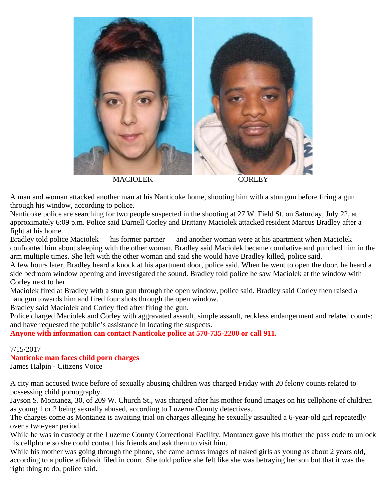

A man and woman attacked another man at his Nanticoke home, shooting him with a stun gun before firing a gun through his window, according to police.

Nanticoke police are searching for two people suspected in the shooting at 27 W. Field St. on Saturday, July 22, at approximately 6:09 p.m. Police said Darnell Corley and Brittany Maciolek attacked resident Marcus Bradley after a fight at his home.

Bradley told police Maciolek — his former partner — and another woman were at his apartment when Maciolek confronted him about sleeping with the other woman. Bradley said Maciolek became combative and punched him in the arm multiple times. She left with the other woman and said she would have Bradley killed, police said.

A few hours later, Bradley heard a knock at his apartment door, police said. When he went to open the door, he heard a side bedroom window opening and investigated the sound. Bradley told police he saw Maciolek at the window with Corley next to her.

Maciolek fired at Bradley with a stun gun through the open window, police said. Bradley said Corley then raised a handgun towards him and fired four shots through the open window.

Bradley said Maciolek and Corley fled after firing the gun.

Police charged Maciolek and Corley with aggravated assault, simple assault, reckless endangerment and related counts; and have requested the public's assistance in locating the suspects.

**Anyone with information can contact Nanticoke police at 570-735-2200 or call 911.**

## 7/15/2017

## **Nanticoke man faces child porn charges**

James Halpin - Citizens Voice

A city man accused twice before of sexually abusing children was charged Friday with 20 felony counts related to possessing child pornography.

Jayson S. Montanez, 30, of 209 W. Church St., was charged after his mother found images on his cellphone of children as young 1 or 2 being sexually abused, according to Luzerne County detectives.

The charges come as Montanez is awaiting trial on charges alleging he sexually assaulted a 6-year-old girl repeatedly over a two-year period.

While he was in custody at the Luzerne County Correctional Facility, Montanez gave his mother the pass code to unlock his cellphone so she could contact his friends and ask them to visit him.

While his mother was going through the phone, she came across images of naked girls as young as about 2 years old, according to a police affidavit filed in court. She told police she felt like she was betraying her son but that it was the right thing to do, police said.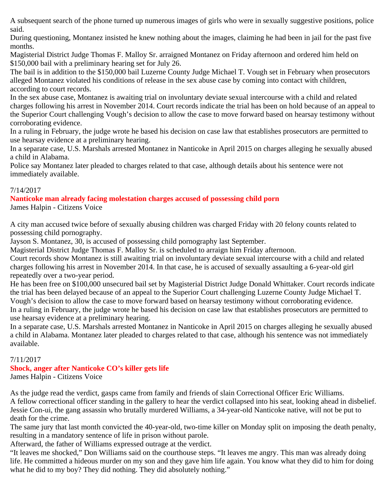A subsequent search of the phone turned up numerous images of girls who were in sexually suggestive positions, police said.

During questioning, Montanez insisted he knew nothing about the images, claiming he had been in jail for the past five months.

Magisterial District Judge Thomas F. Malloy Sr. arraigned Montanez on Friday afternoon and ordered him held on \$150,000 bail with a preliminary hearing set for July 26.

The bail is in addition to the \$150,000 bail Luzerne County Judge Michael T. Vough set in February when prosecutors alleged Montanez violated his conditions of release in the sex abuse case by coming into contact with children, according to court records.

In the sex abuse case, Montanez is awaiting trial on involuntary deviate sexual intercourse with a child and related charges following his arrest in November 2014. Court records indicate the trial has been on hold because of an appeal to the Superior Court challenging Vough's decision to allow the case to move forward based on hearsay testimony without corroborating evidence.

In a ruling in February, the judge wrote he based his decision on case law that establishes prosecutors are permitted to use hearsay evidence at a preliminary hearing.

In a separate case, U.S. Marshals arrested Montanez in Nanticoke in April 2015 on charges alleging he sexually abused a child in Alabama.

Police say Montanez later pleaded to charges related to that case, although details about his sentence were not immediately available.

## 7/14/2017

**Nanticoke man already facing molestation charges accused of possessing child porn** James Halpin - Citizens Voice

A city man accused twice before of sexually abusing children was charged Friday with 20 felony counts related to possessing child pornography.

Jayson S. Montanez, 30, is accused of possessing child pornography last September.

Magisterial District Judge Thomas F. Malloy Sr. is scheduled to arraign him Friday afternoon.

Court records show Montanez is still awaiting trial on involuntary deviate sexual intercourse with a child and related charges following his arrest in November 2014. In that case, he is accused of sexually assaulting a 6-year-old girl repeatedly over a two-year period.

He has been free on \$100,000 unsecured bail set by Magisterial District Judge Donald Whittaker. Court records indicate the trial has been delayed because of an appeal to the Superior Court challenging Luzerne County Judge Michael T. Vough's decision to allow the case to move forward based on hearsay testimony without corroborating evidence. In a ruling in February, the judge wrote he based his decision on case law that establishes prosecutors are permitted to use hearsay evidence at a preliminary hearing.

In a separate case, U.S. Marshals arrested Montanez in Nanticoke in April 2015 on charges alleging he sexually abused a child in Alabama. Montanez later pleaded to charges related to that case, although his sentence was not immediately available.

# 7/11/2017

# **Shock, anger after Nanticoke CO's killer gets life**

James Halpin - Citizens Voice

As the judge read the verdict, gasps came from family and friends of slain Correctional Officer Eric Williams. A fellow correctional officer standing in the gallery to hear the verdict collapsed into his seat, looking ahead in disbelief. Jessie Con-ui, the gang assassin who brutally murdered Williams, a 34-year-old Nanticoke native, will not be put to death for the crime.

The same jury that last month convicted the 40-year-old, two-time killer on Monday split on imposing the death penalty, resulting in a mandatory sentence of life in prison without parole.

Afterward, the father of Williams expressed outrage at the verdict.

"It leaves me shocked," Don Williams said on the courthouse steps. "It leaves me angry. This man was already doing life. He committed a hideous murder on my son and they gave him life again. You know what they did to him for doing what he did to my boy? They did nothing. They did absolutely nothing."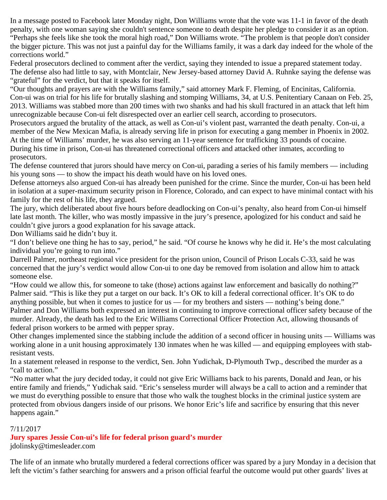In a message posted to Facebook later Monday night, Don Williams wrote that the vote was 11-1 in favor of the death penalty, with one woman saying she couldn't sentence someone to death despite her pledge to consider it as an option. "Perhaps she feels like she took the moral high road," Don Williams wrote. "The problem is that people don't consider the bigger picture. This was not just a painful day for the Williams family, it was a dark day indeed for the whole of the corrections world."

Federal prosecutors declined to comment after the verdict, saying they intended to issue a prepared statement today. The defense also had little to say, with Montclair, New Jersey-based attorney David A. Ruhnke saying the defense was "grateful" for the verdict, but that it speaks for itself.

"Our thoughts and prayers are with the Williams family," said attorney Mark F. Fleming, of Encinitas, California. Con-ui was on trial for his life for brutally slashing and stomping Williams, 34, at U.S. Penitentiary Canaan on Feb. 25, 2013. Williams was stabbed more than 200 times with two shanks and had his skull fractured in an attack that left him unrecognizable because Con-ui felt disrespected over an earlier cell search, according to prosecutors.

Prosecutors argued the brutality of the attack, as well as Con-ui's violent past, warranted the death penalty. Con-ui, a member of the New Mexican Mafia, is already serving life in prison for executing a gang member in Phoenix in 2002. At the time of Williams' murder, he was also serving an 11-year sentence for trafficking 33 pounds of cocaine. During his time in prison, Con-ui has threatened correctional officers and attacked other inmates, according to prosecutors.

The defense countered that jurors should have mercy on Con-ui, parading a series of his family members — including his young sons — to show the impact his death would have on his loved ones.

Defense attorneys also argued Con-ui has already been punished for the crime. Since the murder, Con-ui has been held in isolation at a super-maximum security prison in Florence, Colorado, and can expect to have minimal contact with his family for the rest of his life, they argued.

The jury, which deliberated about five hours before deadlocking on Con-ui's penalty, also heard from Con-ui himself late last month. The killer, who was mostly impassive in the jury's presence, apologized for his conduct and said he couldn't give jurors a good explanation for his savage attack.

Don Williams said he didn't buy it.

"I don't believe one thing he has to say, period," he said. "Of course he knows why he did it. He's the most calculating individual you're going to run into."

Darrell Palmer, northeast regional vice president for the prison union, Council of Prison Locals C-33, said he was concerned that the jury's verdict would allow Con-ui to one day be removed from isolation and allow him to attack someone else.

"How could we allow this, for someone to take (those) actions against law enforcement and basically do nothing?" Palmer said. "This is like they put a target on our back. It's OK to kill a federal correctional officer. It's OK to do anything possible, but when it comes to justice for us — for my brothers and sisters — nothing's being done." Palmer and Don Williams both expressed an interest in continuing to improve correctional officer safety because of the murder. Already, the death has led to the Eric Williams Correctional Officer Protection Act, allowing thousands of federal prison workers to be armed with pepper spray.

Other changes implemented since the stabbing include the addition of a second officer in housing units — Williams was working alone in a unit housing approximately 130 inmates when he was killed — and equipping employees with stabresistant vests.

In a statement released in response to the verdict, Sen. John Yudichak, D-Plymouth Twp., described the murder as a "call to action."

"No matter what the jury decided today, it could not give Eric Williams back to his parents, Donald and Jean, or his entire family and friends," Yudichak said. "Eric's senseless murder will always be a call to action and a reminder that we must do everything possible to ensure that those who walk the toughest blocks in the criminal justice system are protected from obvious dangers inside of our prisons. We honor Eric's life and sacrifice by ensuring that this never happens again."

## 7/11/2017

# **Jury spares Jessie Con-ui's life for federal prison guard's murder**

jdolinsky@timesleader.com

The life of an inmate who brutally murdered a federal corrections officer was spared by a jury Monday in a decision that left the victim's father searching for answers and a prison official fearful the outcome would put other guards' lives at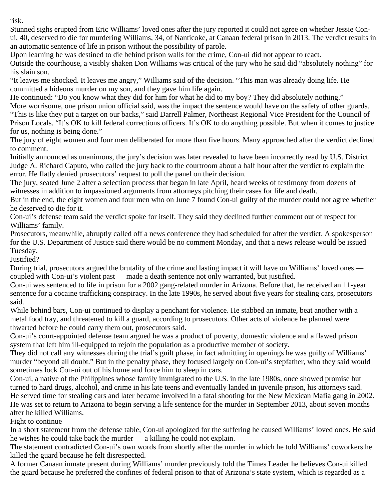risk.

Stunned sighs erupted from Eric Williams' loved ones after the jury reported it could not agree on whether Jessie Conui, 40, deserved to die for murdering Williams, 34, of Nanticoke, at Canaan federal prison in 2013. The verdict results in an automatic sentence of life in prison without the possibility of parole.

Upon learning he was destined to die behind prison walls for the crime, Con-ui did not appear to react.

Outside the courthouse, a visibly shaken Don Williams was critical of the jury who he said did "absolutely nothing" for his slain son.

"It leaves me shocked. It leaves me angry," Williams said of the decision. "This man was already doing life. He committed a hideous murder on my son, and they gave him life again.

He continued: "Do you know what they did for him for what he did to my boy? They did absolutely nothing."

More worrisome, one prison union official said, was the impact the sentence would have on the safety of other guards. "This is like they put a target on our backs," said Darrell Palmer, Northeast Regional Vice President for the Council of Prison Locals. "It's OK to kill federal corrections officers. It's OK to do anything possible. But when it comes to justice for us, nothing is being done."

The jury of eight women and four men deliberated for more than five hours. Many approached after the verdict declined to comment.

Initially announced as unanimous, the jury's decision was later revealed to have been incorrectly read by U.S. District Judge A. Richard Caputo, who called the jury back to the courtroom about a half hour after the verdict to explain the error. He flatly denied prosecutors' request to poll the panel on their decision.

The jury, seated June 2 after a selection process that began in late April, heard weeks of testimony from dozens of witnesses in addition to impassioned arguments from attorneys pitching their cases for life and death.

But in the end, the eight women and four men who on June 7 found Con-ui guilty of the murder could not agree whether he deserved to die for it.

Con-ui's defense team said the verdict spoke for itself. They said they declined further comment out of respect for Williams' family.

Prosecutors, meanwhile, abruptly called off a news conference they had scheduled for after the verdict. A spokesperson for the U.S. Department of Justice said there would be no comment Monday, and that a news release would be issued Tuesday.

Justified?

During trial, prosecutors argued the brutality of the crime and lasting impact it will have on Williams' loved ones coupled with Con-ui's violent past — made a death sentence not only warranted, but justified.

Con-ui was sentenced to life in prison for a 2002 gang-related murder in Arizona. Before that, he received an 11-year sentence for a cocaine trafficking conspiracy. In the late 1990s, he served about five years for stealing cars, prosecutors said.

While behind bars, Con-ui continued to display a penchant for violence. He stabbed an inmate, beat another with a metal food tray, and threatened to kill a guard, according to prosecutors. Other acts of violence he planned were thwarted before he could carry them out, prosecutors said.

Con-ui's court-appointed defense team argued he was a product of poverty, domestic violence and a flawed prison system that left him ill-equipped to rejoin the population as a productive member of society.

They did not call any witnesses during the trial's guilt phase, in fact admitting in openings he was guilty of Williams' murder "beyond all doubt." But in the penalty phase, they focused largely on Con-ui's stepfather, who they said would sometimes lock Con-ui out of his home and force him to sleep in cars.

Con-ui, a native of the Philippines whose family immigrated to the U.S. in the late 1980s, once showed promise but turned to hard drugs, alcohol, and crime in his late teens and eventually landed in juvenile prison, his attorneys said. He served time for stealing cars and later became involved in a fatal shooting for the New Mexican Mafia gang in 2002. He was set to return to Arizona to begin serving a life sentence for the murder in September 2013, about seven months after he killed Williams.

Fight to continue

In a short statement from the defense table, Con-ui apologized for the suffering he caused Williams' loved ones. He said he wishes he could take back the murder — a killing he could not explain.

The statement contradicted Con-ui's own words from shortly after the murder in which he told Williams' coworkers he killed the guard because he felt disrespected.

A former Canaan inmate present during Williams' murder previously told the Times Leader he believes Con-ui killed the guard because he preferred the confines of federal prison to that of Arizona's state system, which is regarded as a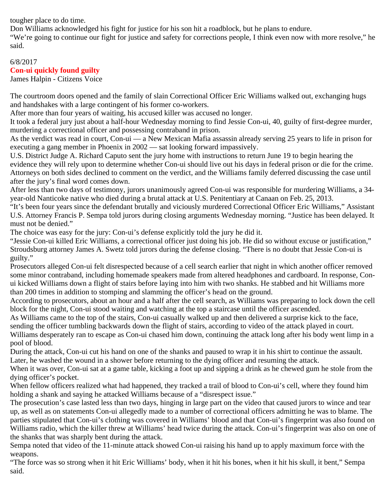tougher place to do time.

Don Williams acknowledged his fight for justice for his son hit a roadblock, but he plans to endure.

"We're going to continue our fight for justice and safety for corrections people, I think even now with more resolve," he said.

## 6/8/2017 **Con-ui quickly found guilty**

James Halpin - Citizens Voice

The courtroom doors opened and the family of slain Correctional Officer Eric Williams walked out, exchanging hugs and handshakes with a large contingent of his former co-workers.

After more than four years of waiting, his accused killer was accused no longer.

It took a federal jury just about a half-hour Wednesday morning to find Jessie Con-ui, 40, guilty of first-degree murder, murdering a correctional officer and possessing contraband in prison.

As the verdict was read in court, Con-ui — a New Mexican Mafia assassin already serving 25 years to life in prison for executing a gang member in Phoenix in 2002 — sat looking forward impassively.

U.S. District Judge A. Richard Caputo sent the jury home with instructions to return June 19 to begin hearing the evidence they will rely upon to determine whether Con-ui should live out his days in federal prison or die for the crime. Attorneys on both sides declined to comment on the verdict, and the Williams family deferred discussing the case until after the jury's final word comes down.

After less than two days of testimony, jurors unanimously agreed Con-ui was responsible for murdering Williams, a 34 year-old Nanticoke native who died during a brutal attack at U.S. Penitentiary at Canaan on Feb. 25, 2013.

"It's been four years since the defendant brutally and viciously murdered Correctional Officer Eric Williams," Assistant U.S. Attorney Francis P. Sempa told jurors during closing arguments Wednesday morning. "Justice has been delayed. It must not be denied."

The choice was easy for the jury: Con-ui's defense explicitly told the jury he did it.

"Jessie Con-ui killed Eric Williams, a correctional officer just doing his job. He did so without excuse or justification," Stroudsburg attorney James A. Swetz told jurors during the defense closing. "There is no doubt that Jessie Con-ui is guilty."

Prosecutors alleged Con-ui felt disrespected because of a cell search earlier that night in which another officer removed some minor contraband, including homemade speakers made from altered headphones and cardboard. In response, Conui kicked Williams down a flight of stairs before laying into him with two shanks. He stabbed and hit Williams more than 200 times in addition to stomping and slamming the officer's head on the ground.

According to prosecutors, about an hour and a half after the cell search, as Williams was preparing to lock down the cell block for the night, Con-ui stood waiting and watching at the top a staircase until the officer ascended.

As Williams came to the top of the stairs, Con-ui casually walked up and then delivered a surprise kick to the face, sending the officer tumbling backwards down the flight of stairs, according to video of the attack played in court.

Williams desperately ran to escape as Con-ui chased him down, continuing the attack long after his body went limp in a pool of blood.

During the attack, Con-ui cut his hand on one of the shanks and paused to wrap it in his shirt to continue the assault. Later, he washed the wound in a shower before returning to the dying officer and resuming the attack.

When it was over, Con-ui sat at a game table, kicking a foot up and sipping a drink as he chewed gum he stole from the dying officer's pocket.

When fellow officers realized what had happened, they tracked a trail of blood to Con-ui's cell, where they found him holding a shank and saying he attacked Williams because of a "disrespect issue."

The prosecution's case lasted less than two days, hinging in large part on the video that caused jurors to wince and tear up, as well as on statements Con-ui allegedly made to a number of correctional officers admitting he was to blame. The parties stipulated that Con-ui's clothing was covered in Williams' blood and that Con-ui's fingerprint was also found on Williams radio, which the killer threw at Williams' head twice during the attack. Con-ui's fingerprint was also on one of the shanks that was sharply bent during the attack.

Sempa noted that video of the 11-minute attack showed Con-ui raising his hand up to apply maximum force with the weapons.

"The force was so strong when it hit Eric Williams' body, when it hit his bones, when it hit his skull, it bent," Sempa said.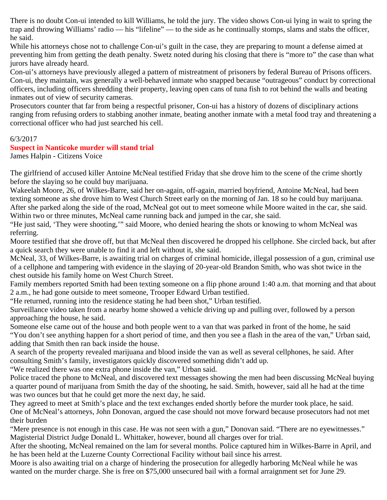There is no doubt Con-ui intended to kill Williams, he told the jury. The video shows Con-ui lying in wait to spring the trap and throwing Williams' radio — his "lifeline" — to the side as he continually stomps, slams and stabs the officer, he said.

While his attorneys chose not to challenge Con-ui's guilt in the case, they are preparing to mount a defense aimed at preventing him from getting the death penalty. Swetz noted during his closing that there is "more to" the case than what jurors have already heard.

Con-ui's attorneys have previously alleged a pattern of mistreatment of prisoners by federal Bureau of Prisons officers. Con-ui, they maintain, was generally a well-behaved inmate who snapped because "outrageous" conduct by correctional officers, including officers shredding their property, leaving open cans of tuna fish to rot behind the walls and beating inmates out of view of security cameras.

Prosecutors counter that far from being a respectful prisoner, Con-ui has a history of dozens of disciplinary actions ranging from refusing orders to stabbing another inmate, beating another inmate with a metal food tray and threatening a correctional officer who had just searched his cell.

#### 6/3/2017

## **Suspect in Nanticoke murder will stand trial**

James Halpin - Citizens Voice

The girlfriend of accused killer Antoine McNeal testified Friday that she drove him to the scene of the crime shortly before the slaying so he could buy marijuana.

Wakeelah Moore, 26, of Wilkes-Barre, said her on-again, off-again, married boyfriend, Antoine McNeal, had been texting someone as she drove him to West Church Street early on the morning of Jan. 18 so he could buy marijuana. After she parked along the side of the road, McNeal got out to meet someone while Moore waited in the car, she said. Within two or three minutes, McNeal came running back and jumped in the car, she said.

"He just said, 'They were shooting,'" said Moore, who denied hearing the shots or knowing to whom McNeal was referring.

Moore testified that she drove off, but that McNeal then discovered he dropped his cellphone. She circled back, but after a quick search they were unable to find it and left without it, she said.

McNeal, 33, of Wilkes-Barre, is awaiting trial on charges of criminal homicide, illegal possession of a gun, criminal use of a cellphone and tampering with evidence in the slaying of 20-year-old Brandon Smith, who was shot twice in the chest outside his family home on West Church Street.

Family members reported Smith had been texting someone on a flip phone around 1:40 a.m. that morning and that about 2 a.m., he had gone outside to meet someone, Trooper Edward Urban testified.

"He returned, running into the residence stating he had been shot," Urban testified.

Surveillance video taken from a nearby home showed a vehicle driving up and pulling over, followed by a person approaching the house, he said.

Someone else came out of the house and both people went to a van that was parked in front of the home, he said "You don't see anything happen for a short period of time, and then you see a flash in the area of the van," Urban said, adding that Smith then ran back inside the house.

A search of the property revealed marijuana and blood inside the van as well as several cellphones, he said. After consulting Smith's family, investigators quickly discovered something didn't add up.

"We realized there was one extra phone inside the van," Urban said.

Police traced the phone to McNeal, and discovered text messages showing the men had been discussing McNeal buying a quarter pound of marijuana from Smith the day of the shooting, he said. Smith, however, said all he had at the time was two ounces but that he could get more the next day, he said.

They agreed to meet at Smith's place and the text exchanges ended shortly before the murder took place, he said. One of McNeal's attorneys, John Donovan, argued the case should not move forward because prosecutors had not met their burden

"Mere presence is not enough in this case. He was not seen with a gun," Donovan said. "There are no eyewitnesses." Magisterial District Judge Donald L. Whittaker, however, bound all charges over for trial.

After the shooting, McNeal remained on the lam for several months. Police captured him in Wilkes-Barre in April, and he has been held at the Luzerne County Correctional Facility without bail since his arrest.

Moore is also awaiting trial on a charge of hindering the prosecution for allegedly harboring McNeal while he was wanted on the murder charge. She is free on \$75,000 unsecured bail with a formal arraignment set for June 29.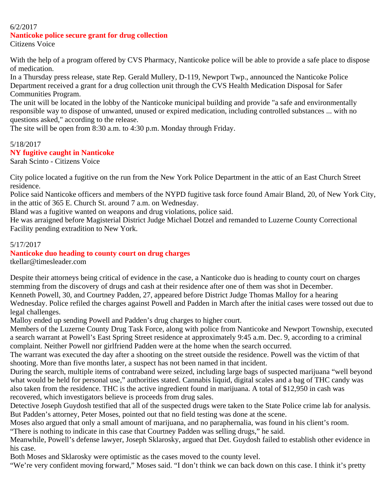## 6/2/2017

# **Nanticoke police secure grant for drug collection**

Citizens Voice

With the help of a program offered by CVS Pharmacy, Nanticoke police will be able to provide a safe place to dispose of medication.

In a Thursday press release, state Rep. Gerald Mullery, D-119, Newport Twp., announced the Nanticoke Police Department received a grant for a drug collection unit through the CVS Health Medication Disposal for Safer Communities Program.

The unit will be located in the lobby of the Nanticoke municipal building and provide "a safe and environmentally responsible way to dispose of unwanted, unused or expired medication, including controlled substances ... with no questions asked," according to the release.

The site will be open from 8:30 a.m. to 4:30 p.m. Monday through Friday.

## 5/18/2017 **NY fugitive caught in Nanticoke**

Sarah Scinto - Citizens Voice

City police located a fugitive on the run from the New York Police Department in the attic of an East Church Street residence.

Police said Nanticoke officers and members of the NYPD fugitive task force found Amair Bland, 20, of New York City, in the attic of 365 E. Church St. around 7 a.m. on Wednesday.

Bland was a fugitive wanted on weapons and drug violations, police said.

He was arraigned before Magisterial District Judge Michael Dotzel and remanded to Luzerne County Correctional Facility pending extradition to New York.

## 5/17/2017

## **Nanticoke duo heading to county court on drug charges**

tkellar@timesleader.com

Despite their attorneys being critical of evidence in the case, a Nanticoke duo is heading to county court on charges stemming from the discovery of drugs and cash at their residence after one of them was shot in December. Kenneth Powell, 30, and Courtney Padden, 27, appeared before District Judge Thomas Malloy for a hearing Wednesday. Police refiled the charges against Powell and Padden in March after the initial cases were tossed out due to legal challenges.

Malloy ended up sending Powell and Padden's drug charges to higher court.

Members of the Luzerne County Drug Task Force, along with police from Nanticoke and Newport Township, executed a search warrant at Powell's East Spring Street residence at approximately 9:45 a.m. Dec. 9, according to a criminal complaint. Neither Powell nor girlfriend Padden were at the home when the search occurred.

The warrant was executed the day after a shooting on the street outside the residence. Powell was the victim of that shooting. More than five months later, a suspect has not been named in that incident.

During the search, multiple items of contraband were seized, including large bags of suspected marijuana "well beyond what would be held for personal use," authorities stated. Cannabis liquid, digital scales and a bag of THC candy was also taken from the residence. THC is the active ingredient found in marijuana. A total of \$12,950 in cash was recovered, which investigators believe is proceeds from drug sales.

Detective Joseph Guydosh testified that all of the suspected drugs were taken to the State Police crime lab for analysis. But Padden's attorney, Peter Moses, pointed out that no field testing was done at the scene.

Moses also argued that only a small amount of marijuana, and no paraphernalia, was found in his client's room.

"There is nothing to indicate in this case that Courtney Padden was selling drugs," he said.

Meanwhile, Powell's defense lawyer, Joseph Sklarosky, argued that Det. Guydosh failed to establish other evidence in his case.

Both Moses and Sklarosky were optimistic as the cases moved to the county level.

"We're very confident moving forward," Moses said. "I don't think we can back down on this case. I think it's pretty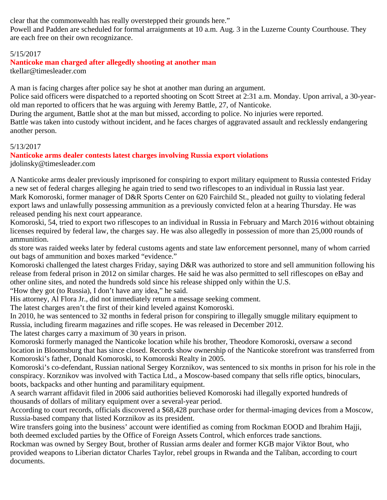clear that the commonwealth has really overstepped their grounds here."

Powell and Padden are scheduled for formal arraignments at 10 a.m. Aug. 3 in the Luzerne County Courthouse. They are each free on their own recognizance.

## 5/15/2017

## **Nanticoke man charged after allegedly shooting at another man**

tkellar@timesleader.com

A man is facing charges after police say he shot at another man during an argument.

Police said officers were dispatched to a reported shooting on Scott Street at 2:31 a.m. Monday. Upon arrival, a 30-yearold man reported to officers that he was arguing with Jeremy Battle, 27, of Nanticoke.

During the argument, Battle shot at the man but missed, according to police. No injuries were reported.

Battle was taken into custody without incident, and he faces charges of aggravated assault and recklessly endangering another person.

## 5/13/2017

# **Nanticoke arms dealer contests latest charges involving Russia export violations**

jdolinsky@timesleader.com

A Nanticoke arms dealer previously imprisoned for conspiring to export military equipment to Russia contested Friday a new set of federal charges alleging he again tried to send two riflescopes to an individual in Russia last year. Mark Komoroski, former manager of D&R Sports Center on 620 Fairchild St., pleaded not guilty to violating federal export laws and unlawfully possessing ammunition as a previously convicted felon at a hearing Thursday. He was released pending his next court appearance.

Komoroski, 54, tried to export two riflescopes to an individual in Russia in February and March 2016 without obtaining licenses required by federal law, the charges say. He was also allegedly in possession of more than 25,000 rounds of ammunition.

ds store was raided weeks later by federal customs agents and state law enforcement personnel, many of whom carried out bags of ammunition and boxes marked "evidence."

Komoroski challenged the latest charges Friday, saying D&R was authorized to store and sell ammunition following his release from federal prison in 2012 on similar charges. He said he was also permitted to sell riflescopes on eBay and other online sites, and noted the hundreds sold since his release shipped only within the U.S.

"How they got (to Russia), I don't have any idea," he said.

His attorney, Al Flora Jr., did not immediately return a message seeking comment.

The latest charges aren't the first of their kind leveled against Komoroski.

In 2010, he was sentenced to 32 months in federal prison for conspiring to illegally smuggle military equipment to Russia, including firearm magazines and rifle scopes. He was released in December 2012.

The latest charges carry a maximum of 30 years in prison.

Komoroski formerly managed the Nanticoke location while his brother, Theodore Komoroski, oversaw a second location in Bloomsburg that has since closed. Records show ownership of the Nanticoke storefront was transferred from Komoroski's father, Donald Komoroski, to Komoroski Realty in 2005.

Komoroski's co-defendant, Russian national Sergey Korznikov, was sentenced to six months in prison for his role in the conspiracy. Korznikov was involved with Tactica Ltd., a Moscow-based company that sells rifle optics, binoculars, boots, backpacks and other hunting and paramilitary equipment.

A search warrant affidavit filed in 2006 said authorities believed Komoroski had illegally exported hundreds of thousands of dollars of military equipment over a several-year period.

According to court records, officials discovered a \$68,428 purchase order for thermal-imaging devices from a Moscow, Russia-based company that listed Korznikov as its president.

Wire transfers going into the business' account were identified as coming from Rockman EOOD and Ibrahim Hajji, both deemed excluded parties by the Office of Foreign Assets Control, which enforces trade sanctions.

Rockman was owned by Sergey Bout, brother of Russian arms dealer and former KGB major Viktor Bout, who provided weapons to Liberian dictator Charles Taylor, rebel groups in Rwanda and the Taliban, according to court documents.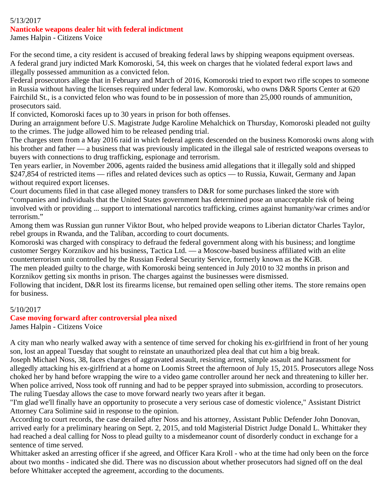# 5/13/2017

#### **Nanticoke weapons dealer hit with federal indictment**

James Halpin - Citizens Voice

For the second time, a city resident is accused of breaking federal laws by shipping weapons equipment overseas. A federal grand jury indicted Mark Komoroski, 54, this week on charges that he violated federal export laws and illegally possessed ammunition as a convicted felon.

Federal prosecutors allege that in February and March of 2016, Komoroski tried to export two rifle scopes to someone in Russia without having the licenses required under federal law. Komoroski, who owns D&R Sports Center at 620 Fairchild St., is a convicted felon who was found to be in possession of more than 25,000 rounds of ammunition, prosecutors said.

If convicted, Komoroski faces up to 30 years in prison for both offenses.

During an arraignment before U.S. Magistrate Judge Karoline Mehalchick on Thursday, Komoroski pleaded not guilty to the crimes. The judge allowed him to be released pending trial.

The charges stem from a May 2016 raid in which federal agents descended on the business Komoroski owns along with his brother and father — a business that was previously implicated in the illegal sale of restricted weapons overseas to buyers with connections to drug trafficking, espionage and terrorism.

Ten years earlier, in November 2006, agents raided the business amid allegations that it illegally sold and shipped \$247,854 of restricted items — rifles and related devices such as optics — to Russia, Kuwait, Germany and Japan without required export licenses.

Court documents filed in that case alleged money transfers to D&R for some purchases linked the store with "companies and individuals that the United States government has determined pose an unacceptable risk of being involved with or providing ... support to international narcotics trafficking, crimes against humanity/war crimes and/or terrorism."

Among them was Russian gun runner Viktor Bout, who helped provide weapons to Liberian dictator Charles Taylor, rebel groups in Rwanda, and the Taliban, according to court documents.

Komoroski was charged with conspiracy to defraud the federal government along with his business; and longtime customer Sergey Korznikov and his business, Tactica Ltd. — a Moscow-based business affiliated with an elite counterterrorism unit controlled by the Russian Federal Security Service, formerly known as the KGB.

The men pleaded guilty to the charge, with Komoroski being sentenced in July 2010 to 32 months in prison and Korznikov getting six months in prison. The charges against the businesses were dismissed.

Following that incident, D&R lost its firearms license, but remained open selling other items. The store remains open for business.

## 5/10/2017

#### **Case moving forward after controversial plea nixed**

James Halpin - Citizens Voice

A city man who nearly walked away with a sentence of time served for choking his ex-girlfriend in front of her young son, lost an appeal Tuesday that sought to reinstate an unauthorized plea deal that cut him a big break.

Joseph Michael Noss, 38, faces charges of aggravated assault, resisting arrest, simple assault and harassment for allegedly attacking his ex-girlfriend at a home on Loomis Street the afternoon of July 15, 2015. Prosecutors allege Noss choked her by hand before wrapping the wire to a video game controller around her neck and threatening to killer her. When police arrived, Noss took off running and had to be pepper sprayed into submission, according to prosecutors. The ruling Tuesday allows the case to move forward nearly two years after it began.

"I'm glad we'll finally have an opportunity to prosecute a very serious case of domestic violence," Assistant District Attorney Cara Solimine said in response to the opinion.

According to court records, the case derailed after Noss and his attorney, Assistant Public Defender John Donovan, arrived early for a preliminary hearing on Sept. 2, 2015, and told Magisterial District Judge Donald L. Whittaker they had reached a deal calling for Noss to plead guilty to a misdemeanor count of disorderly conduct in exchange for a sentence of time served.

Whittaker asked an arresting officer if she agreed, and Officer Kara Kroll - who at the time had only been on the force about two months - indicated she did. There was no discussion about whether prosecutors had signed off on the deal before Whittaker accepted the agreement, according to the documents.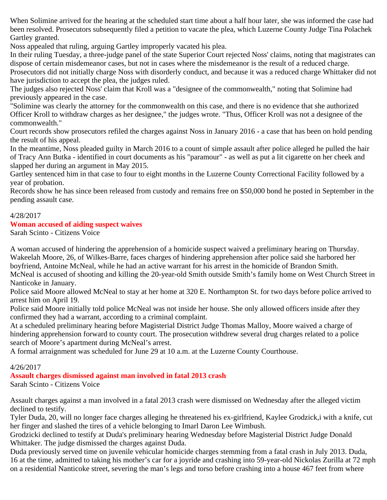When Solimine arrived for the hearing at the scheduled start time about a half hour later, she was informed the case had been resolved. Prosecutors subsequently filed a petition to vacate the plea, which Luzerne County Judge Tina Polachek Gartley granted.

Noss appealed that ruling, arguing Gartley improperly vacated his plea.

In their ruling Tuesday, a three-judge panel of the state Superior Court rejected Noss' claims, noting that magistrates can dispose of certain misdemeanor cases, but not in cases where the misdemeanor is the result of a reduced charge.

Prosecutors did not initially charge Noss with disorderly conduct, and because it was a reduced charge Whittaker did not have jurisdiction to accept the plea, the judges ruled.

The judges also rejected Noss' claim that Kroll was a "designee of the commonwealth," noting that Solimine had previously appeared in the case.

"Solimine was clearly the attorney for the commonwealth on this case, and there is no evidence that she authorized Officer Kroll to withdraw charges as her designee," the judges wrote. "Thus, Officer Kroll was not a designee of the commonwealth."

Court records show prosecutors refiled the charges against Noss in January 2016 - a case that has been on hold pending the result of his appeal.

In the meantime, Noss pleaded guilty in March 2016 to a count of simple assault after police alleged he pulled the hair of Tracy Ann Butka - identified in court documents as his "paramour" - as well as put a lit cigarette on her cheek and slapped her during an argument in May 2015.

Gartley sentenced him in that case to four to eight months in the Luzerne County Correctional Facility followed by a year of probation.

Records show he has since been released from custody and remains free on \$50,000 bond he posted in September in the pending assault case.

# 4/28/2017

#### **Woman accused of aiding suspect waives**

Sarah Scinto - Citizens Voice

A woman accused of hindering the apprehension of a homicide suspect waived a preliminary hearing on Thursday. Wakeelah Moore, 26, of Wilkes-Barre, faces charges of hindering apprehension after police said she harbored her boyfriend, Antoine McNeal, while he had an active warrant for his arrest in the homicide of Brandon Smith. McNeal is accused of shooting and killing the 20-year-old Smith outside Smith's family home on West Church Street in Nanticoke in January.

Police said Moore allowed McNeal to stay at her home at 320 E. Northampton St. for two days before police arrived to arrest him on April 19.

Police said Moore initially told police McNeal was not inside her house. She only allowed officers inside after they confirmed they had a warrant, according to a criminal complaint.

At a scheduled preliminary hearing before Magisterial District Judge Thomas Malloy, Moore waived a charge of hindering apprehension forward to county court. The prosecution withdrew several drug charges related to a police search of Moore's apartment during McNeal's arrest.

A formal arraignment was scheduled for June 29 at 10 a.m. at the Luzerne County Courthouse.

#### 4/26/2017

## **Assault charges dismissed against man involved in fatal 2013 crash**

Sarah Scinto - Citizens Voice

Assault charges against a man involved in a fatal 2013 crash were dismissed on Wednesday after the alleged victim declined to testify.

Tyler Duda, 20, will no longer face charges alleging he threatened his ex-girlfriend, Kaylee Grodzick,i with a knife, cut her finger and slashed the tires of a vehicle belonging to Imarl Daron Lee Wimbush.

Grodzicki declined to testify at Duda's preliminary hearing Wednesday before Magisterial District Judge Donald Whittaker. The judge dismissed the charges against Duda.

Duda previously served time on juvenile vehicular homicide charges stemming from a fatal crash in July 2013. Duda, 16 at the time, admitted to taking his mother's car for a joyride and crashing into 59-year-old Nickolas Zurilla at 72 mph on a residential Nanticoke street, severing the man's legs and torso before crashing into a house 467 feet from where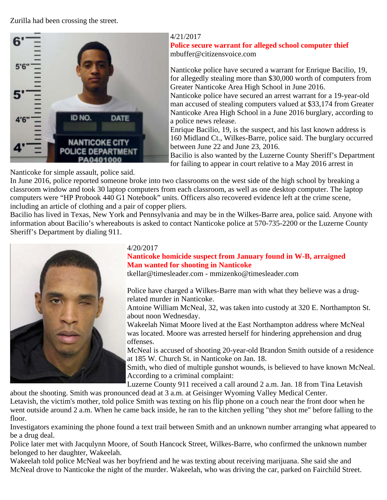Zurilla had been crossing the street.



#### 4/21/2017

**Police secure warrant for alleged school computer thief** mbuffer@citizensvoice.com

Nanticoke police have secured a warrant for Enrique Bacilio, 19, for allegedly stealing more than \$30,000 worth of computers from Greater Nanticoke Area High School in June 2016.

Nanticoke police have secured an arrest warrant for a 19-year-old man accused of stealing computers valued at \$33,174 from Greater Nanticoke Area High School in a June 2016 burglary, according to a police news release.

Enrique Bacilio, 19, is the suspect, and his last known address is 160 Midland Ct., Wilkes-Barre, police said. The burglary occurred between June 22 and June 23, 2016.

Bacilio is also wanted by the Luzerne County Sheriff's Department for failing to appear in court relative to a May 2016 arrest in

Nanticoke for simple assault, police said.

In June 2016, police reported someone broke into two classrooms on the west side of the high school by breaking a classroom window and took 30 laptop computers from each classroom, as well as one desktop computer. The laptop computers were "HP Probook 440 G1 Notebook" units. Officers also recovered evidence left at the crime scene, including an article of clothing and a pair of copper pliers.

Bacilio has lived in Texas, New York and Pennsylvania and may be in the Wilkes-Barre area, police said. Anyone with information about Bacilio's whereabouts is asked to contact Nanticoke police at 570-735-2200 or the Luzerne County Sheriff's Department by dialing 911.



## 4/20/2017

## **Nanticoke homicide suspect from January found in W-B, arraigned Man wanted for shooting in Nanticoke**

tkellar@timesleader.com - mmizenko@timesleader.com

Police have charged a Wilkes-Barre man with what they believe was a drugrelated murder in Nanticoke.

Antoine William McNeal, 32, was taken into custody at 320 E. Northampton St. about noon Wednesday.

Wakeelah Nimat Moore lived at the East Northampton address where McNeal was located. Moore was arrested herself for hindering apprehension and drug offenses.

McNeal is accused of shooting 20-year-old Brandon Smith outside of a residence at 185 W. Church St. in Nanticoke on Jan. 18.

Smith, who died of multiple gunshot wounds, is believed to have known McNeal. According to a criminal complaint:

Luzerne County 911 received a call around 2 a.m. Jan. 18 from Tina Letavish

about the shooting. Smith was pronounced dead at 3 a.m. at Geisinger Wyoming Valley Medical Center. Letavish, the victim's mother, told police Smith was texting on his flip phone on a couch near the front door when he went outside around 2 a.m. When he came back inside, he ran to the kitchen yelling "they shot me" before falling to the floor.

Investigators examining the phone found a text trail between Smith and an unknown number arranging what appeared to be a drug deal.

Police later met with Jacqulynn Moore, of South Hancock Street, Wilkes-Barre, who confirmed the unknown number belonged to her daughter, Wakeelah.

Wakeelah told police McNeal was her boyfriend and he was texting about receiving marijuana. She said she and McNeal drove to Nanticoke the night of the murder. Wakeelah, who was driving the car, parked on Fairchild Street.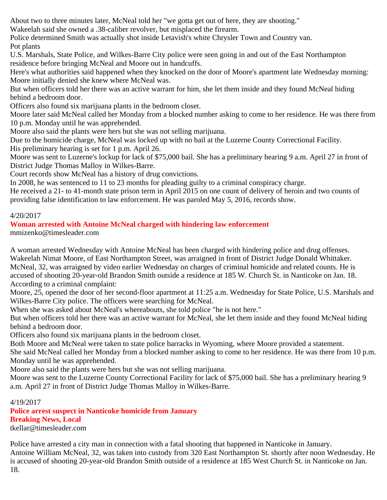About two to three minutes later, McNeal told her "we gotta get out of here, they are shooting."

Wakeelah said she owned a .38-caliber revolver, but misplaced the firearm.

Police determined Smith was actually shot inside Letavish's white Chrysler Town and Country van.

Pot plants

U.S. Marshals, State Police, and Wilkes-Barre City police were seen going in and out of the East Northampton residence before bringing McNeal and Moore out in handcuffs.

Here's what authorities said happened when they knocked on the door of Moore's apartment late Wednesday morning: Moore initially denied she knew where McNeal was.

But when officers told her there was an active warrant for him, she let them inside and they found McNeal hiding behind a bedroom door.

Officers also found six marijuana plants in the bedroom closet.

Moore later said McNeal called her Monday from a blocked number asking to come to her residence. He was there from 10 p.m. Monday until he was apprehended.

Moore also said the plants were hers but she was not selling marijuana.

Due to the homicide charge, McNeal was locked up with no bail at the Luzerne County Correctional Facility. His preliminary hearing is set for 1 p.m. April 26.

Moore was sent to Luzerne's lockup for lack of \$75,000 bail. She has a preliminary hearing 9 a.m. April 27 in front of District Judge Thomas Malloy in Wilkes-Barre.

Court records show McNeal has a history of drug convictions.

In 2008, he was sentenced to 11 to 23 months for pleading guilty to a criminal conspiracy charge.

He received a 21- to 41-month state prison term in April 2015 on one count of delivery of heroin and two counts of providing false identification to law enforcement. He was paroled May 5, 2016, records show.

## 4/20/2017

# **Woman arrested with Antoine McNeal charged with hindering law enforcement**

mmizenko@timesleader.com

A woman arrested Wednesday with Antoine McNeal has been charged with hindering police and drug offenses. Wakeelah Nimat Moore, of East Northampton Street, was arraigned in front of District Judge Donald Whittaker. McNeal, 32, was arraigned by video earlier Wednesday on charges of criminal homicide and related counts. He is accused of shooting 20-year-old Brandon Smith outside a residence at 185 W. Church St. in Nanticoke on Jan. 18. According to a criminal complaint:

Moore, 25, opened the door of her second-floor apartment at 11:25 a.m. Wednesday for State Police, U.S. Marshals and Wilkes-Barre City police. The officers were searching for McNeal.

When she was asked about McNeal's whereabouts, she told police "he is not here."

But when officers told her there was an active warrant for McNeal, she let them inside and they found McNeal hiding behind a bedroom door.

Officers also found six marijuana plants in the bedroom closet.

Both Moore and McNeal were taken to state police barracks in Wyoming, where Moore provided a statement.

She said McNeal called her Monday from a blocked number asking to come to her residence. He was there from 10 p.m. Monday until he was apprehended.

Moore also said the plants were hers but she was not selling marijuana.

Moore was sent to the Luzerne County Correctional Facility for lack of \$75,000 bail. She has a preliminary hearing 9 a.m. April 27 in front of District Judge Thomas Malloy in Wilkes-Barre.

## 4/19/2017

**Police arrest suspect in Nanticoke homicide from January Breaking News, Local**

tkellar@timesleader.com

Police have arrested a city man in connection with a fatal shooting that happened in Nanticoke in January. Antoine William McNeal, 32, was taken into custody from 320 East Northampton St. shortly after noon Wednesday. He is accused of shooting 20-year-old Brandon Smith outside of a residence at 185 West Church St. in Nanticoke on Jan. 18.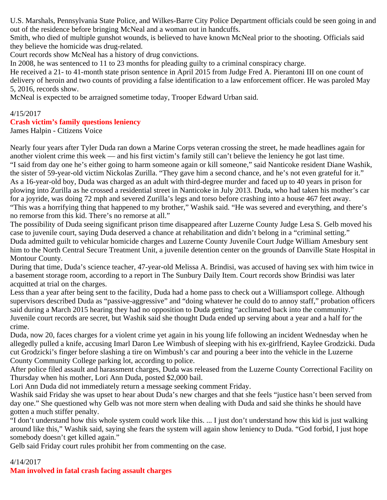U.S. Marshals, Pennsylvania State Police, and Wilkes-Barre City Police Department officials could be seen going in and out of the residence before bringing McNeal and a woman out in handcuffs.

Smith, who died of multiple gunshot wounds, is believed to have known McNeal prior to the shooting. Officials said they believe the homicide was drug-related.

Court records show McNeal has a history of drug convictions.

In 2008, he was sentenced to 11 to 23 months for pleading guilty to a criminal conspiracy charge.

He received a 21- to 41-month state prison sentence in April 2015 from Judge Fred A. Pierantoni III on one count of delivery of heroin and two counts of providing a false identification to a law enforcement officer. He was paroled May 5, 2016, records show.

McNeal is expected to be arraigned sometime today, Trooper Edward Urban said.

# 4/15/2017 **Crash victim's family questions leniency**

James Halpin - Citizens Voice

Nearly four years after Tyler Duda ran down a Marine Corps veteran crossing the street, he made headlines again for another violent crime this week — and his first victim's family still can't believe the leniency he got last time. "I said from day one he's either going to harm someone again or kill someone," said Nanticoke resident Diane Washik, the sister of 59-year-old victim Nickolas Zurilla. "They gave him a second chance, and he's not even grateful for it." As a 16-year-old boy, Duda was charged as an adult with third-degree murder and faced up to 40 years in prison for plowing into Zurilla as he crossed a residential street in Nanticoke in July 2013. Duda, who had taken his mother's car for a joyride, was doing 72 mph and severed Zurilla's legs and torso before crashing into a house 467 feet away. "This was a horrifying thing that happened to my brother," Washik said. "He was severed and everything, and there's no remorse from this kid. There's no remorse at all."

The possibility of Duda seeing significant prison time disappeared after Luzerne County Judge Lesa S. Gelb moved his case to juvenile court, saying Duda deserved a chance at rehabilitation and didn't belong in a "criminal setting." Duda admitted guilt to vehicular homicide charges and Luzerne County Juvenile Court Judge William Amesbury sent him to the North Central Secure Treatment Unit, a juvenile detention center on the grounds of Danville State Hospital in Montour County.

During that time, Duda's science teacher, 47-year-old Melissa A. Brindisi, was accused of having sex with him twice in a basement storage room, according to a report in The Sunbury Daily Item. Court records show Brindisi was later acquitted at trial on the charges.

Less than a year after being sent to the facility, Duda had a home pass to check out a Williamsport college. Although supervisors described Duda as "passive-aggressive" and "doing whatever he could do to annoy staff," probation officers said during a March 2015 hearing they had no opposition to Duda getting "acclimated back into the community." Juvenile court records are secret, but Washik said she thought Duda ended up serving about a year and a half for the crime.

Duda, now 20, faces charges for a violent crime yet again in his young life following an incident Wednesday when he allegedly pulled a knife, accusing Imarl Daron Lee Wimbush of sleeping with his ex-girlfriend, Kaylee Grodzicki. Duda cut Grodzicki's finger before slashing a tire on Wimbush's car and pouring a beer into the vehicle in the Luzerne County Community College parking lot, according to police.

After police filed assault and harassment charges, Duda was released from the Luzerne County Correctional Facility on Thursday when his mother, Lori Ann Duda, posted \$2,000 bail.

Lori Ann Duda did not immediately return a message seeking comment Friday.

Washik said Friday she was upset to hear about Duda's new charges and that she feels "justice hasn't been served from day one." She questioned why Gelb was not more stern when dealing with Duda and said she thinks he should have gotten a much stiffer penalty.

"I don't understand how this whole system could work like this. ... I just don't understand how this kid is just walking around like this," Washik said, saying she fears the system will again show leniency to Duda. "God forbid, I just hope somebody doesn't get killed again."

Gelb said Friday court rules prohibit her from commenting on the case.

# 4/14/2017 **Man involved in fatal crash facing assault charges**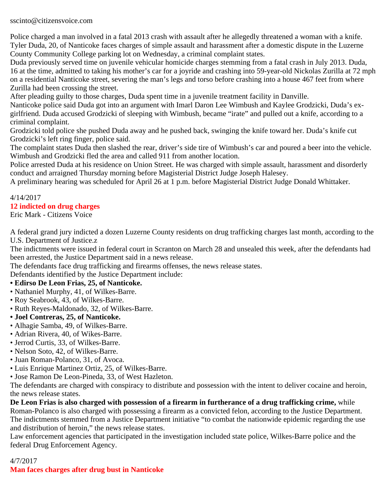sscinto@citizensvoice.com

Police charged a man involved in a fatal 2013 crash with assault after he allegedly threatened a woman with a knife. Tyler Duda, 20, of Nanticoke faces charges of simple assault and harassment after a domestic dispute in the Luzerne County Community College parking lot on Wednesday, a criminal complaint states.

Duda previously served time on juvenile vehicular homicide charges stemming from a fatal crash in July 2013. Duda, 16 at the time, admitted to taking his mother's car for a joyride and crashing into 59-year-old Nickolas Zurilla at 72 mph on a residential Nanticoke street, severing the man's legs and torso before crashing into a house 467 feet from where Zurilla had been crossing the street.

After pleading guilty to those charges, Duda spent time in a juvenile treatment facility in Danville.

Nanticoke police said Duda got into an argument with Imarl Daron Lee Wimbush and Kaylee Grodzicki, Duda's exgirlfriend. Duda accused Grodzicki of sleeping with Wimbush, became "irate" and pulled out a knife, according to a criminal complaint.

Grodzicki told police she pushed Duda away and he pushed back, swinging the knife toward her. Duda's knife cut Grodzicki's left ring finger, police said.

The complaint states Duda then slashed the rear, driver's side tire of Wimbush's car and poured a beer into the vehicle. Wimbush and Grodzicki fled the area and called 911 from another location.

Police arrested Duda at his residence on Union Street. He was charged with simple assault, harassment and disorderly conduct and arraigned Thursday morning before Magisterial District Judge Joseph Halesey.

A preliminary hearing was scheduled for April 26 at 1 p.m. before Magisterial District Judge Donald Whittaker.

#### 4/14/2017 **12 indicted on drug charges** Eric Mark - Citizens Voice

A federal grand jury indicted a dozen Luzerne County residents on drug trafficking charges last month, according to the U.S. Department of Justice.z

The indictments were issued in federal court in Scranton on March 28 and unsealed this week, after the defendants had been arrested, the Justice Department said in a news release.

The defendants face drug trafficking and firearms offenses, the news release states.

Defendants identified by the Justice Department include:

- **Edirso De Leon Frias, 25, of Nanticoke.**
- Nathaniel Murphy, 41, of Wilkes-Barre.
- Roy Seabrook, 43, of Wilkes-Barre.
- Ruth Reyes-Maldonado, 32, of Wilkes-Barre.
- **Joel Contreras, 25, of Nanticoke.**
- Alhagie Samba, 49, of Wilkes-Barre.
- Adrian Rivera, 40, of Wikes-Barre.
- Jerrod Curtis, 33, of Wilkes-Barre.
- Nelson Soto, 42, of Wilkes-Barre.
- Juan Roman-Polanco, 31, of Avoca.
- Luis Enrique Martinez Ortiz, 25, of Wilkes-Barre.
- Jose Ramon De Leon-Pineda, 33, of West Hazleton.

The defendants are charged with conspiracy to distribute and possession with the intent to deliver cocaine and heroin, the news release states.

**De Leon Frias is also charged with possession of a firearm in furtherance of a drug trafficking crime,** while Roman-Polanco is also charged with possessing a firearm as a convicted felon, according to the Justice Department. The indictments stemmed from a Justice Department initiative "to combat the nationwide epidemic regarding the use and distribution of heroin," the news release states.

Law enforcement agencies that participated in the investigation included state police, Wilkes-Barre police and the federal Drug Enforcement Agency.

4/7/2017 **Man faces charges after drug bust in Nanticoke**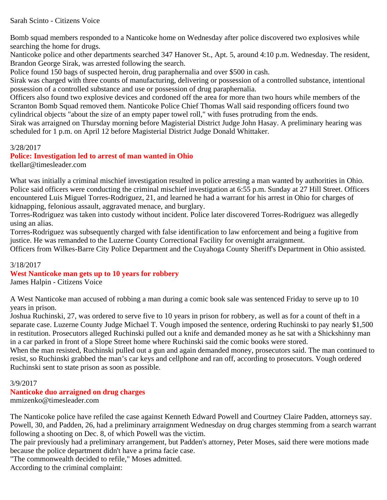Sarah Scinto - Citizens Voice

Bomb squad members responded to a Nanticoke home on Wednesday after police discovered two explosives while searching the home for drugs.

Nanticoke police and other departments searched 347 Hanover St., Apt. 5, around 4:10 p.m. Wednesday. The resident, Brandon George Sirak, was arrested following the search.

Police found 150 bags of suspected heroin, drug paraphernalia and over \$500 in cash.

Sirak was charged with three counts of manufacturing, delivering or possession of a controlled substance, intentional possession of a controlled substance and use or possession of drug paraphernalia.

Officers also found two explosive devices and cordoned off the area for more than two hours while members of the Scranton Bomb Squad removed them. Nanticoke Police Chief Thomas Wall said responding officers found two cylindrical objects "about the size of an empty paper towel roll," with fuses protruding from the ends.

Sirak was arraigned on Thursday morning before Magisterial District Judge John Hasay. A preliminary hearing was scheduled for 1 p.m. on April 12 before Magisterial District Judge Donald Whittaker.

#### 3/28/2017

## **Police: Investigation led to arrest of man wanted in Ohio**

tkellar@timesleader.com

What was initially a criminal mischief investigation resulted in police arresting a man wanted by authorities in Ohio. Police said officers were conducting the criminal mischief investigation at 6:55 p.m. Sunday at 27 Hill Street. Officers encountered Luis Miguel Torres-Rodriguez, 21, and learned he had a warrant for his arrest in Ohio for charges of kidnapping, felonious assault, aggravated menace, and burglary.

Torres-Rodriguez was taken into custody without incident. Police later discovered Torres-Rodriguez was allegedly using an alias.

Torres-Rodriguez was subsequently charged with false identification to law enforcement and being a fugitive from justice. He was remanded to the Luzerne County Correctional Facility for overnight arraignment.

Officers from Wilkes-Barre City Police Department and the Cuyahoga County Sheriff's Department in Ohio assisted.

## 3/18/2017

## **West Nanticoke man gets up to 10 years for robbery**

James Halpin - Citizens Voice

A West Nanticoke man accused of robbing a man during a comic book sale was sentenced Friday to serve up to 10 years in prison.

Joshua Ruchinski, 27, was ordered to serve five to 10 years in prison for robbery, as well as for a count of theft in a separate case. Luzerne County Judge Michael T. Vough imposed the sentence, ordering Ruchinski to pay nearly \$1,500 in restitution. Prosecutors alleged Ruchinski pulled out a knife and demanded money as he sat with a Shickshinny man in a car parked in front of a Slope Street home where Ruchinski said the comic books were stored.

When the man resisted, Ruchinski pulled out a gun and again demanded money, prosecutors said. The man continued to resist, so Ruchinski grabbed the man's car keys and cellphone and ran off, according to prosecutors. Vough ordered Ruchinski sent to state prison as soon as possible.

#### 3/9/2017

# **Nanticoke duo arraigned on drug charges**

mmizenko@timesleader.com

The Nanticoke police have refiled the case against Kenneth Edward Powell and Courtney Claire Padden, attorneys say. Powell, 30, and Padden, 26, had a preliminary arraignment Wednesday on drug charges stemming from a search warrant following a shooting on Dec. 8, of which Powell was the victim.

The pair previously had a preliminary arrangement, but Padden's attorney, Peter Moses, said there were motions made because the police department didn't have a prima facie case.

"The commonwealth decided to refile," Moses admitted.

According to the criminal complaint: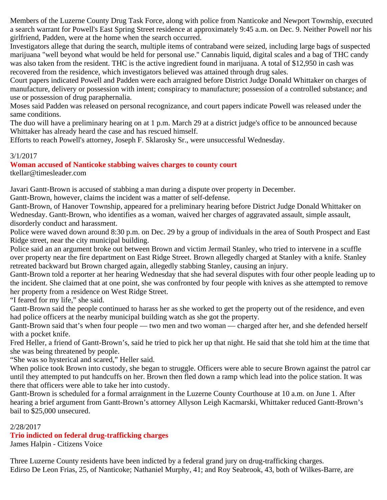Members of the Luzerne County Drug Task Force, along with police from Nanticoke and Newport Township, executed a search warrant for Powell's East Spring Street residence at approximately 9:45 a.m. on Dec. 9. Neither Powell nor his girlfriend, Padden, were at the home when the search occurred.

Investigators allege that during the search, multiple items of contraband were seized, including large bags of suspected marijuana "well beyond what would be held for personal use." Cannabis liquid, digital scales and a bag of THC candy was also taken from the resident. THC is the active ingredient found in marijuana. A total of \$12,950 in cash was recovered from the residence, which investigators believed was attained through drug sales.

Court papers indicated Powell and Padden were each arraigned before District Judge Donald Whittaker on charges of manufacture, delivery or possession with intent; conspiracy to manufacture; possession of a controlled substance; and use or possession of drug paraphernalia.

Moses said Padden was released on personal recognizance, and court papers indicate Powell was released under the same conditions.

The duo will have a preliminary hearing on at 1 p.m. March 29 at a district judge's office to be announced because Whittaker has already heard the case and has rescued himself.

Efforts to reach Powell's attorney, Joseph F. Sklarosky Sr., were unsuccessful Wednesday.

# 3/1/2017

# **Woman accused of Nanticoke stabbing waives charges to county court**

tkellar@timesleader.com

Javari Gantt-Brown is accused of stabbing a man during a dispute over property in December.

Gantt-Brown, however, claims the incident was a matter of self-defense.

Gantt-Brown, of Hanover Township, appeared for a preliminary hearing before District Judge Donald Whittaker on Wednesday. Gantt-Brown, who identifies as a woman, waived her charges of aggravated assault, simple assault, disorderly conduct and harassment.

Police were waved down around 8:30 p.m. on Dec. 29 by a group of individuals in the area of South Prospect and East Ridge street, near the city municipal building.

Police said an an argument broke out between Brown and victim Jermail Stanley, who tried to intervene in a scuffle over property near the fire department on East Ridge Street. Brown allegedly charged at Stanley with a knife. Stanley retreated backward but Brown charged again, allegedly stabbing Stanley, causing an injury.

Gantt-Brown told a reporter at her hearing Wednesday that she had several disputes with four other people leading up to the incident. She claimed that at one point, she was confronted by four people with knives as she attempted to remove her property from a residence on West Ridge Street.

"I feared for my life," she said.

Gantt-Brown said the people continued to harass her as she worked to get the property out of the residence, and even had police officers at the nearby municipal building watch as she got the property.

Gantt-Brown said that's when four people — two men and two woman — charged after her, and she defended herself with a pocket knife.

Fred Heller, a friend of Gantt-Brown's, said he tried to pick her up that night. He said that she told him at the time that she was being threatened by people.

"She was so hysterical and scared," Heller said.

When police took Brown into custody, she began to struggle. Officers were able to secure Brown against the patrol car until they attempted to put handcuffs on her. Brown then fled down a ramp which lead into the police station. It was there that officers were able to take her into custody.

Gantt-Brown is scheduled for a formal arraignment in the Luzerne County Courthouse at 10 a.m. on June 1. After hearing a brief argument from Gantt-Brown's attorney Allyson Leigh Kacmarski, Whittaker reduced Gantt-Brown's bail to \$25,000 unsecured.

## 2/28/2017

# **Trio indicted on federal drug-trafficking charges**

James Halpin - Citizens Voice

Three Luzerne County residents have been indicted by a federal grand jury on drug-trafficking charges. Edirso De Leon Frias, 25, of Nanticoke; Nathaniel Murphy, 41; and Roy Seabrook, 43, both of Wilkes-Barre, are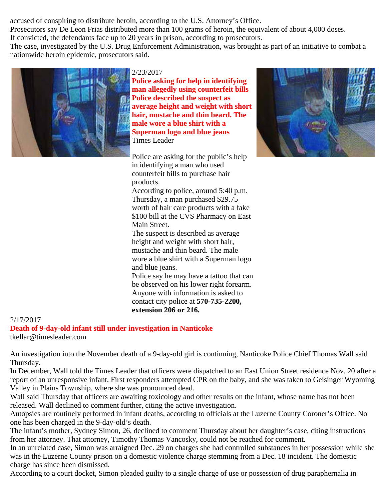accused of conspiring to distribute heroin, according to the U.S. Attorney's Office. Prosecutors say De Leon Frias distributed more than 100 grams of heroin, the equivalent of about 4,000 doses. If convicted, the defendants face up to 20 years in prison, according to prosecutors. The case, investigated by the U.S. Drug Enforcement Administration, was brought as part of an initiative to combat a nationwide heroin epidemic, prosecutors said.



2/23/2017

**Police asking for help in identifying man allegedly using counterfeit bills Police described the suspect as average height and weight with short hair, mustache and thin beard. The male wore a blue shirt with a Superman logo and blue jeans** Times Leader

Police are asking for the public's help in identifying a man who used counterfeit bills to purchase hair products.

According to police, around 5:40 p.m. Thursday, a man purchased \$29.75 worth of hair care products with a fake \$100 bill at the CVS Pharmacy on East Main Street.

The suspect is described as average height and weight with short hair, mustache and thin beard. The male wore a blue shirt with a Superman logo and blue jeans.

Police say he may have a tattoo that can be observed on his lower right forearm. Anyone with information is asked to contact city police at **570-735-2200, extension 206 or 216.**



#### 2/17/2017

**Death of 9-day-old infant still under investigation in Nanticoke** tkellar@timesleader.com

An investigation into the November death of a 9-day-old girl is continuing, Nanticoke Police Chief Thomas Wall said Thursday.

In December, Wall told the Times Leader that officers were dispatched to an East Union Street residence Nov. 20 after a report of an unresponsive infant. First responders attempted CPR on the baby, and she was taken to Geisinger Wyoming Valley in Plains Township, where she was pronounced dead.

Wall said Thursday that officers are awaiting toxicology and other results on the infant, whose name has not been released. Wall declined to comment further, citing the active investigation.

Autopsies are routinely performed in infant deaths, according to officials at the Luzerne County Coroner's Office. No one has been charged in the 9-day-old's death.

The infant's mother, Sydney Simon, 26, declined to comment Thursday about her daughter's case, citing instructions from her attorney. That attorney, Timothy Thomas Vancosky, could not be reached for comment.

In an unrelated case, Simon was arraigned Dec. 29 on charges she had controlled substances in her possession while she was in the Luzerne County prison on a domestic violence charge stemming from a Dec. 18 incident. The domestic charge has since been dismissed.

According to a court docket, Simon pleaded guilty to a single charge of use or possession of drug paraphernalia in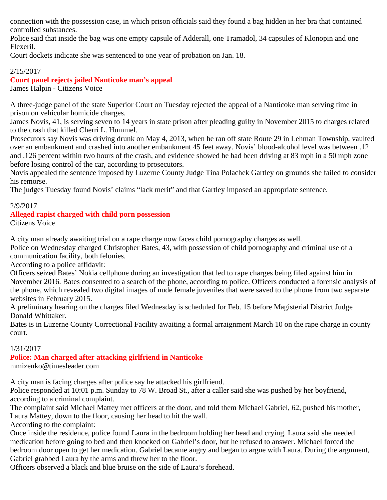connection with the possession case, in which prison officials said they found a bag hidden in her bra that contained controlled substances.

Police said that inside the bag was one empty capsule of Adderall, one Tramadol, 34 capsules of Klonopin and one Flexeril.

Court dockets indicate she was sentenced to one year of probation on Jan. 18.

# 2/15/2017

**Court panel rejects jailed Nanticoke man's appeal** James Halpin - Citizens Voice

A three-judge panel of the state Superior Court on Tuesday rejected the appeal of a Nanticoke man serving time in prison on vehicular homicide charges.

James Novis, 41, is serving seven to 14 years in state prison after pleading guilty in November 2015 to charges related to the crash that killed Cherri L. Hummel.

Prosecutors say Novis was driving drunk on May 4, 2013, when he ran off state Route 29 in Lehman Township, vaulted over an embankment and crashed into another embankment 45 feet away. Novis' blood-alcohol level was between .12 and .126 percent within two hours of the crash, and evidence showed he had been driving at 83 mph in a 50 mph zone before losing control of the car, according to prosecutors.

Novis appealed the sentence imposed by Luzerne County Judge Tina Polachek Gartley on grounds she failed to consider his remorse.

The judges Tuesday found Novis' claims "lack merit" and that Gartley imposed an appropriate sentence.

## 2/9/2017

## **Alleged rapist charged with child porn possession**

Citizens Voice

A city man already awaiting trial on a rape charge now faces child pornography charges as well.

Police on Wednesday charged Christopher Bates, 43, with possession of child pornography and criminal use of a communication facility, both felonies.

According to a police affidavit:

Officers seized Bates' Nokia cellphone during an investigation that led to rape charges being filed against him in November 2016. Bates consented to a search of the phone, according to police. Officers conducted a forensic analysis of the phone, which revealed two digital images of nude female juveniles that were saved to the phone from two separate websites in February 2015.

A preliminary hearing on the charges filed Wednesday is scheduled for Feb. 15 before Magisterial District Judge Donald Whittaker.

Bates is in Luzerne County Correctional Facility awaiting a formal arraignment March 10 on the rape charge in county court.

# 1/31/2017

**Police: Man charged after attacking girlfriend in Nanticoke**

mmizenko@timesleader.com

A city man is facing charges after police say he attacked his girlfriend.

Police responded at 10:01 p.m. Sunday to 78 W. Broad St., after a caller said she was pushed by her boyfriend, according to a criminal complaint.

The complaint said Michael Mattey met officers at the door, and told them Michael Gabriel, 62, pushed his mother, Laura Mattey, down to the floor, causing her head to hit the wall.

According to the complaint:

Once inside the residence, police found Laura in the bedroom holding her head and crying. Laura said she needed medication before going to bed and then knocked on Gabriel's door, but he refused to answer. Michael forced the bedroom door open to get her medication. Gabriel became angry and began to argue with Laura. During the argument, Gabriel grabbed Laura by the arms and threw her to the floor.

Officers observed a black and blue bruise on the side of Laura's forehead.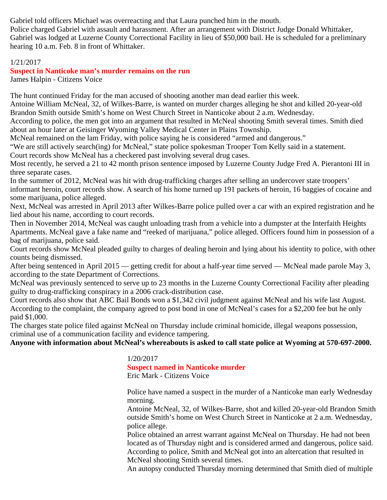Gabriel told officers Michael was overreacting and that Laura punched him in the mouth.

Police charged Gabriel with assault and harassment. After an arrangement with District Judge Donald Whittaker, Gabriel was lodged at Luzerne County Correctional Facility in lieu of \$50,000 bail. He is scheduled for a preliminary hearing 10 a.m. Feb. 8 in front of Whittaker.

## 1/21/2017

**Suspect in Nanticoke man's murder remains on the run** James Halpin - Citizens Voice

The hunt continued Friday for the man accused of shooting another man dead earlier this week.

Antoine William McNeal, 32, of Wilkes-Barre, is wanted on murder charges alleging he shot and killed 20-year-old Brandon Smith outside Smith's home on West Church Street in Nanticoke about 2 a.m. Wednesday.

According to police, the men got into an argument that resulted in McNeal shooting Smith several times. Smith died about an hour later at Geisinger Wyoming Valley Medical Center in Plains Township.

McNeal remained on the lam Friday, with police saying he is considered "armed and dangerous."

"We are still actively search(ing) for McNeal," state police spokesman Trooper Tom Kelly said in a statement.

Court records show McNeal has a checkered past involving several drug cases.

Most recently, he served a 21 to 42 month prison sentence imposed by Luzerne County Judge Fred A. Pierantoni III in three separate cases.

In the summer of 2012, McNeal was hit with drug-trafficking charges after selling an undercover state troopers' informant heroin, court records show. A search of his home turned up 191 packets of heroin, 16 baggies of cocaine and some marijuana, police alleged.

Next, McNeal was arrested in April 2013 after Wilkes-Barre police pulled over a car with an expired registration and he lied about his name, according to court records.

Then in November 2014, McNeal was caught unloading trash from a vehicle into a dumpster at the Interfaith Heights Apartments. McNeal gave a fake name and "reeked of marijuana," police alleged. Officers found him in possession of a bag of marijuana, police said.

Court records show McNeal pleaded guilty to charges of dealing heroin and lying about his identity to police, with other counts being dismissed.

After being sentenced in April 2015 — getting credit for about a half-year time served — McNeal made parole May 3, according to the state Department of Corrections.

McNeal was previously sentenced to serve up to 23 months in the Luzerne County Correctional Facility after pleading guilty to drug-trafficking conspiracy in a 2006 crack-distribution case.

Court records also show that ABC Bail Bonds won a \$1,342 civil judgment against McNeal and his wife last August. According to the complaint, the company agreed to post bond in one of McNeal's cases for a \$2,200 fee but he only paid \$1,000.

The charges state police filed against McNeal on Thursday include criminal homicide, illegal weapons possession, criminal use of a communication facility and evidence tampering.

**Anyone with information about McNeal's whereabouts is asked to call state police at Wyoming at 570-697-2000.**

1/20/2017 **Suspect named in Nanticoke murder** Eric Mark - Citizens Voice

Police have named a suspect in the murder of a Nanticoke man early Wednesday morning.

Antoine McNeal, 32, of Wilkes-Barre, shot and killed 20-year-old Brandon Smith outside Smith's home on West Church Street in Nanticoke at 2 a.m. Wednesday, police allege.

Police obtained an arrest warrant against McNeal on Thursday. He had not been located as of Thursday night and is considered armed and dangerous, police said. According to police, Smith and McNeal got into an altercation that resulted in McNeal shooting Smith several times.

An autopsy conducted Thursday morning determined that Smith died of multiple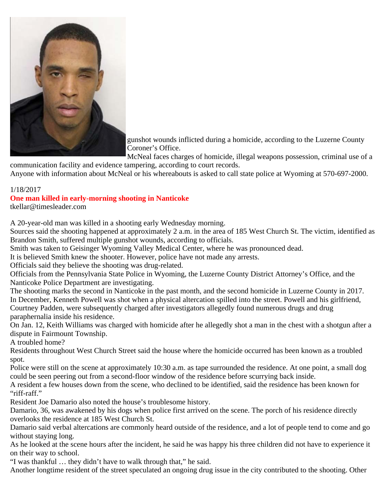

gunshot wounds inflicted during a homicide, according to the Luzerne County Coroner's Office.

McNeal faces charges of homicide, illegal weapons possession, criminal use of a communication facility and evidence tampering, according to court records.

Anyone with information about McNeal or his whereabouts is asked to call state police at Wyoming at 570-697-2000.

#### 1/18/2017

**One man killed in early-morning shooting in Nanticoke**

tkellar@timesleader.com

A 20-year-old man was killed in a shooting early Wednesday morning.

Sources said the shooting happened at approximately 2 a.m. in the area of 185 West Church St. The victim, identified as Brandon Smith, suffered multiple gunshot wounds, according to officials.

Smith was taken to Geisinger Wyoming Valley Medical Center, where he was pronounced dead.

It is believed Smith knew the shooter. However, police have not made any arrests.

Officials said they believe the shooting was drug-related.

Officials from the Pennsylvania State Police in Wyoming, the Luzerne County District Attorney's Office, and the Nanticoke Police Department are investigating.

The shooting marks the second in Nanticoke in the past month, and the second homicide in Luzerne County in 2017. In December, Kenneth Powell was shot when a physical altercation spilled into the street. Powell and his girlfriend, Courtney Padden, were subsequently charged after investigators allegedly found numerous drugs and drug paraphernalia inside his residence.

On Jan. 12, Keith Williams was charged with homicide after he allegedly shot a man in the chest with a shotgun after a dispute in Fairmount Township.

A troubled home?

Residents throughout West Church Street said the house where the homicide occurred has been known as a troubled spot.

Police were still on the scene at approximately 10:30 a.m. as tape surrounded the residence. At one point, a small dog could be seen peering out from a second-floor window of the residence before scurrying back inside.

A resident a few houses down from the scene, who declined to be identified, said the residence has been known for "riff-raff."

Resident Joe Damario also noted the house's troublesome history.

Damario, 36, was awakened by his dogs when police first arrived on the scene. The porch of his residence directly overlooks the residence at 185 West Church St.

Damario said verbal altercations are commonly heard outside of the residence, and a lot of people tend to come and go without staying long.

As he looked at the scene hours after the incident, he said he was happy his three children did not have to experience it on their way to school.

"I was thankful … they didn't have to walk through that," he said.

Another longtime resident of the street speculated an ongoing drug issue in the city contributed to the shooting. Other